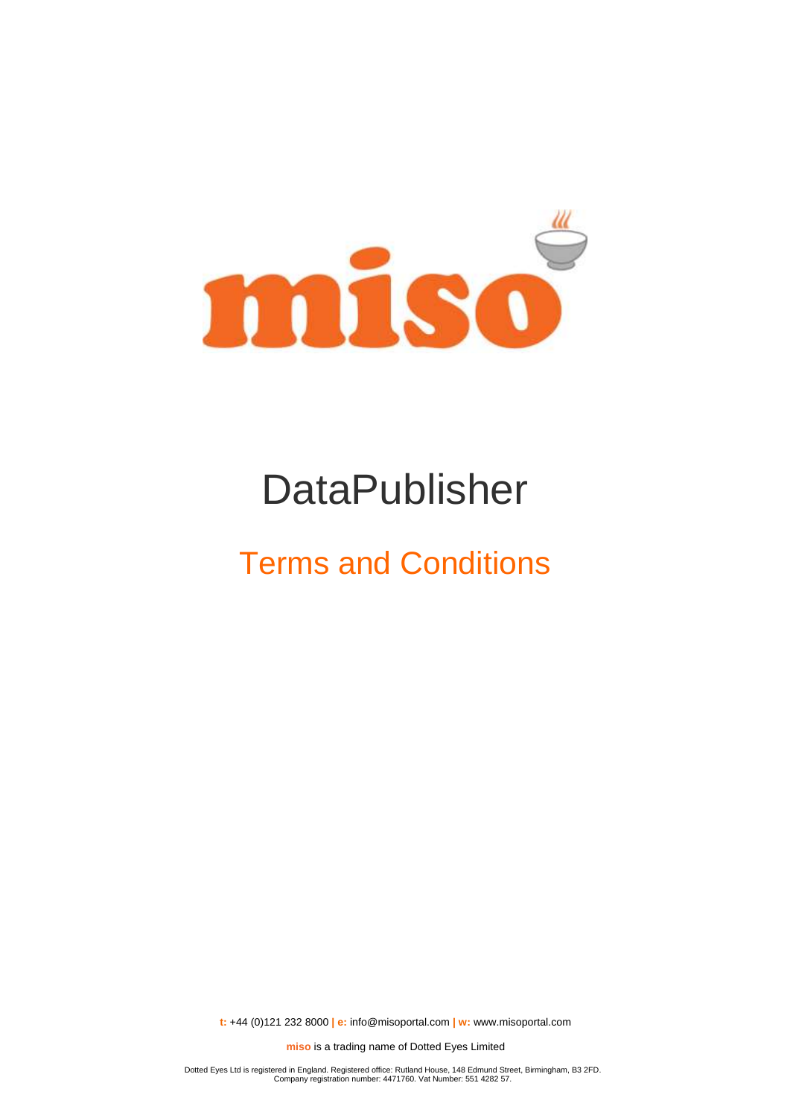

# DataPublisher

## Terms and Conditions

**t:** +44 (0)121 232 8000 **| e:** [info@misoportal.com](mailto:info@misoportal.com) **| w:** [www.misoportal.com](http://www.misoportal.com/)

**miso** is a trading name of Dotted Eyes Limited

Dotted Eyes Ltd is registered in England. Registered office: Rutland House, 148 Edmund Street, Birmingham, B3 2FD. Company registration number: 4471760. Vat Number: 551 4282 57.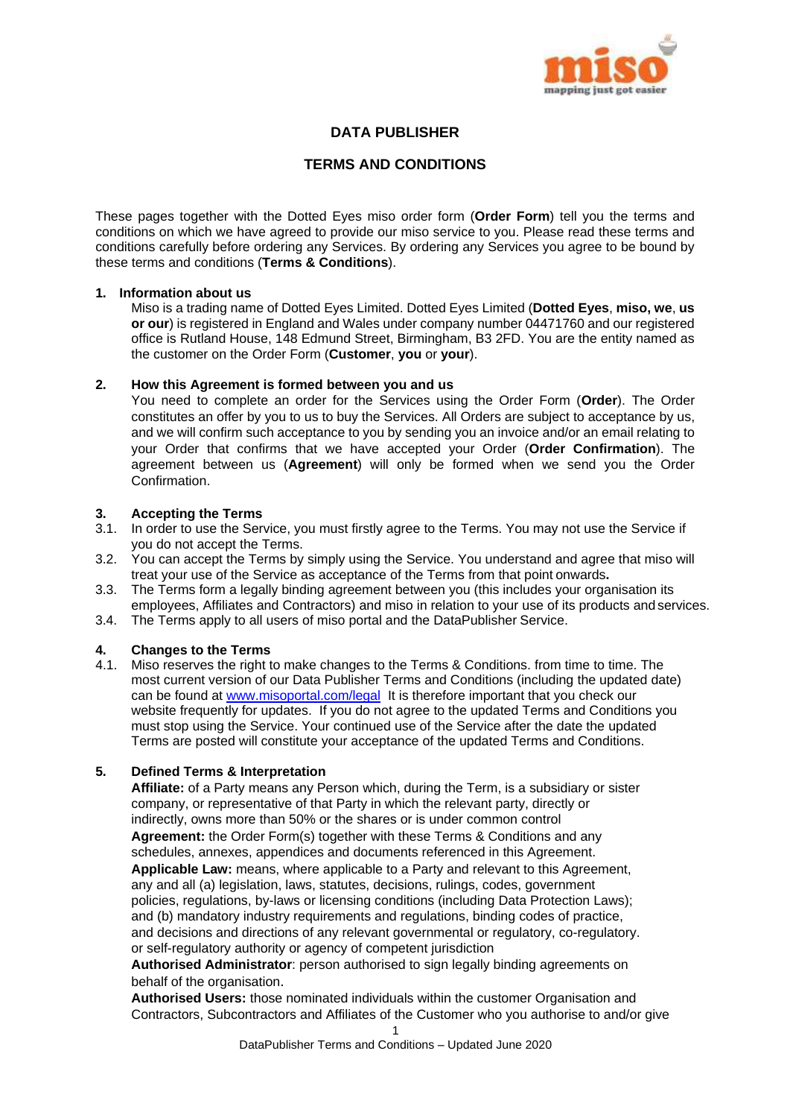

## **DATA PUBLISHER**

## **TERMS AND CONDITIONS**

These pages together with the Dotted Eyes miso order form (**Order Form**) tell you the terms and conditions on which we have agreed to provide our miso service to you. Please read these terms and conditions carefully before ordering any Services. By ordering any Services you agree to be bound by these terms and conditions (**Terms & Conditions**).

## **1. Information about us**

Miso is a trading name of Dotted Eyes Limited. Dotted Eyes Limited (**Dotted Eyes**, **miso, we**, **us or our**) is registered in England and Wales under company number 04471760 and our registered office is Rutland House, 148 Edmund Street, Birmingham, B3 2FD. You are the entity named as the customer on the Order Form (**Customer**, **you** or **your**).

## **2. How this Agreement is formed between you and us**

You need to complete an order for the Services using the Order Form (**Order**). The Order constitutes an offer by you to us to buy the Services. All Orders are subject to acceptance by us, and we will confirm such acceptance to you by sending you an invoice and/or an email relating to your Order that confirms that we have accepted your Order (**Order Confirmation**). The agreement between us (**Agreement**) will only be formed when we send you the Order Confirmation.

## **3. Accepting the Terms**

- 3.1. In order to use the Service, you must firstly agree to the Terms. You may not use the Service if you do not accept the Terms.
- 3.2. You can accept the Terms by simply using the Service. You understand and agree that miso will treat your use of the Service as acceptance of the Terms from that point onwards**.**
- 3.3. The Terms form a legally binding agreement between you (this includes your organisation its employees, Affiliates and Contractors) and miso in relation to your use of its products and services.
- 3.4. The Terms apply to all users of miso portal and the DataPublisher Service.

## **4. Changes to the Terms**

4.1. Miso reserves the right to make changes to the Terms & Conditions. from time to time. The most current version of our Data Publisher Terms and Conditions (including the updated date) can be found at [www.misoportal.com/legal](http://www.misoportal.com/legal) It is therefore important that you check our website frequently for updates. If you do not agree to the updated Terms and Conditions you must stop using the Service. Your continued use of the Service after the date the updated Terms are posted will constitute your acceptance of the updated Terms and Conditions.

## **5. Defined Terms & Interpretation**

**Affiliate:** of a Party means any Person which, during the Term, is a subsidiary or sister company, or representative of that Party in which the relevant party, directly or indirectly, owns more than 50% or the shares or is under common control **Agreement:** the Order Form(s) together with these Terms & Conditions and any schedules, annexes, appendices and documents referenced in this Agreement. **Applicable Law:** means, where applicable to a Party and relevant to this Agreement, any and all (a) legislation, laws, statutes, decisions, rulings, codes, government policies, regulations, by-laws or licensing conditions (including Data Protection Laws); and (b) mandatory industry requirements and regulations, binding codes of practice, and decisions and directions of any relevant governmental or regulatory, co-regulatory. or self-regulatory authority or agency of competent jurisdiction

**Authorised Administrator**: person authorised to sign legally binding agreements on behalf of the organisation.

**Authorised Users:** those nominated individuals within the customer Organisation and Contractors, Subcontractors and Affiliates of the Customer who you authorise to and/or give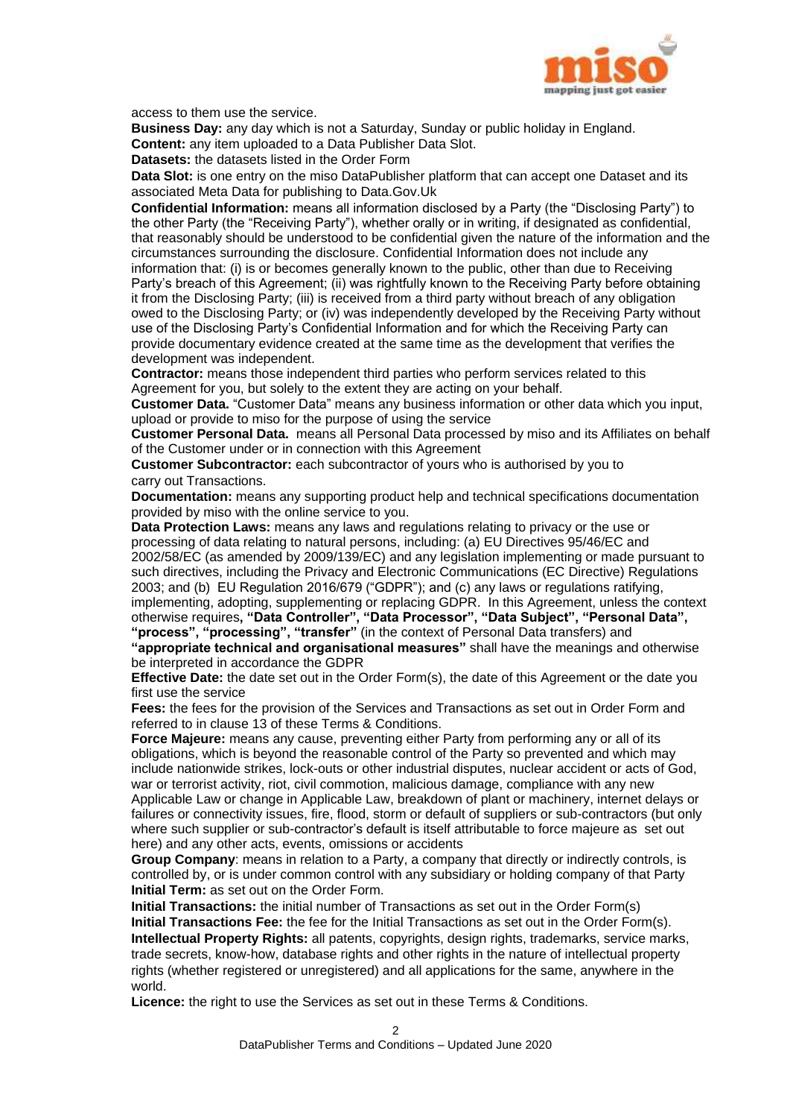

access to them use the service.

**Business Day:** any day which is not a Saturday, Sunday or public holiday in England. **Content:** any item uploaded to a Data Publisher Data Slot.

**Datasets:** the datasets listed in the Order Form

**Data Slot:** is one entry on the miso DataPublisher platform that can accept one Dataset and its associated Meta Data for publishing to Data.Gov.Uk

**Confidential Information:** means all information disclosed by a Party (the "Disclosing Party") to the other Party (the "Receiving Party"), whether orally or in writing, if designated as confidential, that reasonably should be understood to be confidential given the nature of the information and the circumstances surrounding the disclosure. Confidential Information does not include any information that: (i) is or becomes generally known to the public, other than due to Receiving Party's breach of this Agreement; (ii) was rightfully known to the Receiving Party before obtaining it from the Disclosing Party; (iii) is received from a third party without breach of any obligation owed to the Disclosing Party; or (iv) was independently developed by the Receiving Party without use of the Disclosing Party's Confidential Information and for which the Receiving Party can provide documentary evidence created at the same time as the development that verifies the development was independent.

**Contractor:** means those independent third parties who perform services related to this Agreement for you, but solely to the extent they are acting on your behalf.

**Customer Data.** "Customer Data" means any business information or other data which you input, upload or provide to miso for the purpose of using the service

**Customer Personal Data.** means all Personal Data processed by miso and its Affiliates on behalf of the Customer under or in connection with this Agreement

**Customer Subcontractor:** each subcontractor of yours who is authorised by you to carry out Transactions.

**Documentation:** means any supporting product help and technical specifications documentation provided by miso with the online service to you.

**Data Protection Laws:** means any laws and regulations relating to privacy or the use or processing of data relating to natural persons, including: (a) EU Directives 95/46/EC and 2002/58/EC (as amended by 2009/139/EC) and any legislation implementing or made pursuant to such directives, including the Privacy and Electronic Communications (EC Directive) Regulations 2003; and (b) EU Regulation 2016/679 ("GDPR"); and (c) any laws or regulations ratifying, implementing, adopting, supplementing or replacing GDPR. In this Agreement, unless the context otherwise requires**, "Data Controller", "Data Processor", "Data Subject", "Personal Data", "process", "processing", "transfer"** (in the context of Personal Data transfers) and **"appropriate technical and organisational measures"** shall have the meanings and otherwise

be interpreted in accordance the GDPR **Effective Date:** the date set out in the Order Form(s), the date of this Agreement or the date you first use the service

**Fees:** the fees for the provision of the Services and Transactions as set out in Order Form and referred to in clause 13 of these Terms & Conditions.

**Force Majeure:** means any cause, preventing either Party from performing any or all of its obligations, which is beyond the reasonable control of the Party so prevented and which may include nationwide strikes, lock-outs or other industrial disputes, nuclear accident or acts of God, war or terrorist activity, riot, civil commotion, malicious damage, compliance with any new Applicable Law or change in Applicable Law, breakdown of plant or machinery, internet delays or failures or connectivity issues, fire, flood, storm or default of suppliers or sub-contractors (but only where such supplier or sub-contractor's default is itself attributable to force majeure as set out here) and any other acts, events, omissions or accidents

**Group Company**: means in relation to a Party, a company that directly or indirectly controls, is controlled by, or is under common control with any subsidiary or holding company of that Party **Initial Term:** as set out on the Order Form.

**Initial Transactions:** the initial number of Transactions as set out in the Order Form(s) **Initial Transactions Fee:** the fee for the Initial Transactions as set out in the Order Form(s). **Intellectual Property Rights:** all patents, copyrights, design rights, trademarks, service marks, trade secrets, know-how, database rights and other rights in the nature of intellectual property rights (whether registered or unregistered) and all applications for the same, anywhere in the world.

**Licence:** the right to use the Services as set out in these Terms & Conditions.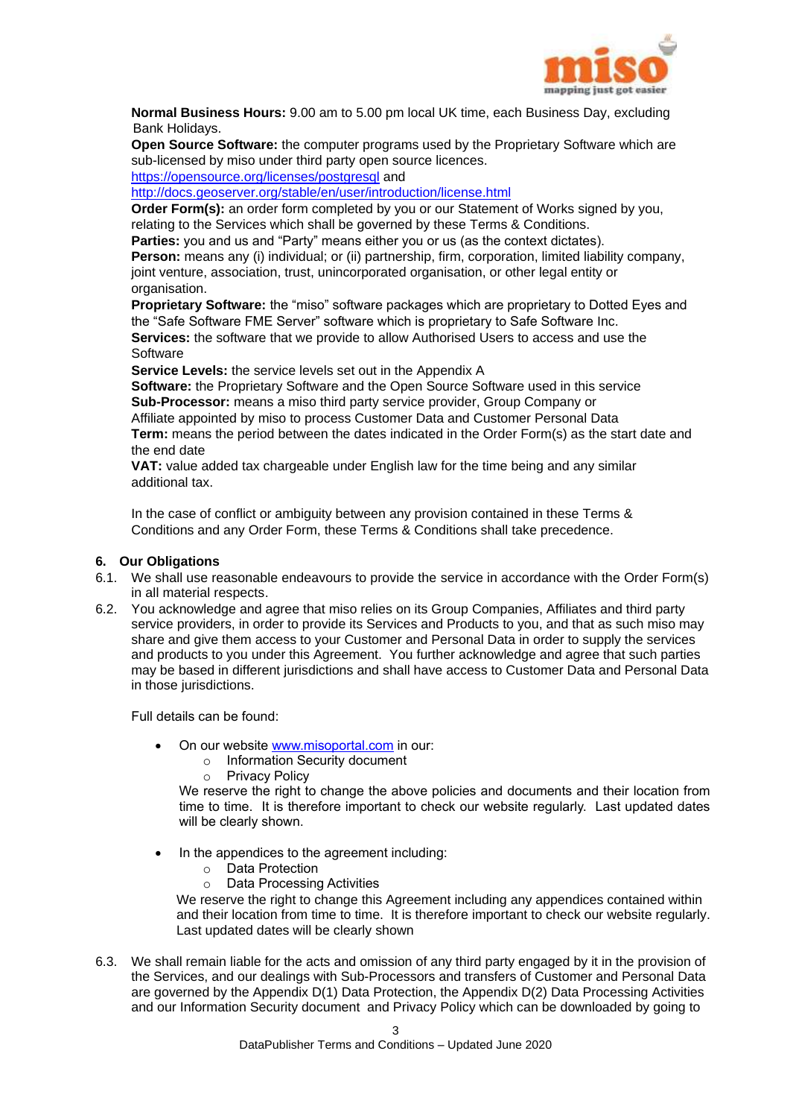

**Normal Business Hours:** 9.00 am to 5.00 pm local UK time, each Business Day, excluding Bank Holidays.

**Open Source Software:** the computer programs used by the Proprietary Software which are sub-licensed by miso under third party open source licences. <https://opensource.org/licenses/postgresql> and

<http://docs.geoserver.org/stable/en/user/introduction/license.html>

**Order Form(s):** an order form completed by you or our Statement of Works signed by you, relating to the Services which shall be governed by these Terms & Conditions.

**Parties:** you and us and "Party" means either you or us (as the context dictates). **Person:** means any (i) individual; or (ii) partnership, firm, corporation, limited liability company, joint venture, association, trust, unincorporated organisation, or other legal entity or organisation.

**Proprietary Software:** the "miso" software packages which are proprietary to Dotted Eyes and the "Safe Software FME Server" software which is proprietary to Safe Software Inc. **Services:** the software that we provide to allow Authorised Users to access and use the **Software** 

**Service Levels:** the service levels set out in the Appendix A

**Software:** the Proprietary Software and the Open Source Software used in this service **Sub-Processor:** means a miso third party service provider, Group Company or Affiliate appointed by miso to process Customer Data and Customer Personal Data **Term:** means the period between the dates indicated in the Order Form(s) as the start date and the end date

**VAT:** value added tax chargeable under English law for the time being and any similar additional tax.

In the case of conflict or ambiguity between any provision contained in these Terms & Conditions and any Order Form, these Terms & Conditions shall take precedence.

## **6. Our Obligations**

- 6.1. We shall use reasonable endeavours to provide the service in accordance with the Order Form(s) in all material respects.
- 6.2. You acknowledge and agree that miso relies on its Group Companies, Affiliates and third party service providers, in order to provide its Services and Products to you, and that as such miso may share and give them access to your Customer and Personal Data in order to supply the services and products to you under this Agreement. You further acknowledge and agree that such parties may be based in different jurisdictions and shall have access to Customer Data and Personal Data in those jurisdictions.

Full details can be found:

- On our website www.misoportal.com in our:
	- o Information Security document
	- o Privacy Policy

We reserve the right to change the above policies and documents and their location from time to time. It is therefore important to check our website regularly. Last updated dates will be clearly shown.

- In the appendices to the agreement including:
	- o Data Protection
	- o Data Processing Activities

We reserve the right to change this Agreement including any appendices contained within and their location from time to time. It is therefore important to check our website regularly. Last updated dates will be clearly shown

6.3. We shall remain liable for the acts and omission of any third party engaged by it in the provision of the Services, and our dealings with Sub-Processors and transfers of Customer and Personal Data are governed by the Appendix D(1) Data Protection, the Appendix D(2) Data Processing Activities and our Information Security document and Privacy Policy which can be downloaded by going to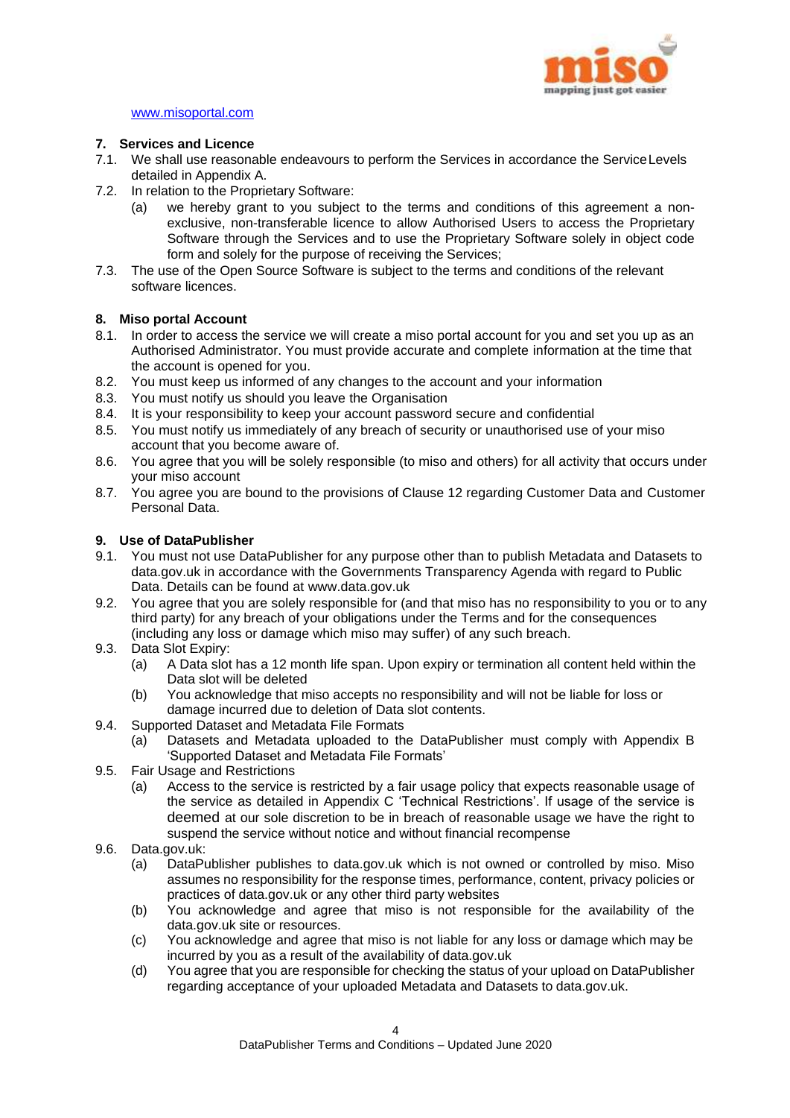

#### www.misoportal.com

## **7. Services and Licence**

- 7.1. We shall use reasonable endeavours to perform the Services in accordance the ServiceLevels detailed in Appendix A.
- 7.2. In relation to the Proprietary Software:
	- (a) we hereby grant to you subject to the terms and conditions of this agreement a nonexclusive, non-transferable licence to allow Authorised Users to access the Proprietary Software through the Services and to use the Proprietary Software solely in object code form and solely for the purpose of receiving the Services;
- 7.3. The use of the Open Source Software is subject to the terms and conditions of the relevant software licences.

## **8. Miso portal Account**

- 8.1. In order to access the service we will create a miso portal account for you and set you up as an Authorised Administrator. You must provide accurate and complete information at the time that the account is opened for you.
- 8.2. You must keep us informed of any changes to the account and your information
- 8.3. You must notify us should you leave the Organisation
- 8.4. It is your responsibility to keep your account password secure and confidential
- 8.5. You must notify us immediately of any breach of security or unauthorised use of your miso account that you become aware of.
- 8.6. You agree that you will be solely responsible (to miso and others) for all activity that occurs under your miso account
- 8.7. You agree you are bound to the provisions of Clause 12 regarding Customer Data and Customer Personal Data.

#### **9. Use of DataPublisher**

- 9.1. You must not use DataPublisher for any purpose other than to publish Metadata and Datasets to data.gov.uk in accordance with the Governments Transparency Agenda with regard to Public Data. Details can be found at [www.data.gov.uk](http://www.data.gov.uk/)
- 9.2. You agree that you are solely responsible for (and that miso has no responsibility to you or to any third party) for any breach of your obligations under the Terms and for the consequences (including any loss or damage which miso may suffer) of any such breach.
- 9.3. Data Slot Expiry:
	- (a) A Data slot has a 12 month life span. Upon expiry or termination all content held within the Data slot will be deleted
	- (b) You acknowledge that miso accepts no responsibility and will not be liable for loss or damage incurred due to deletion of Data slot contents.
- 9.4. Supported Dataset and Metadata File Formats
	- (a) Datasets and Metadata uploaded to the DataPublisher must comply with Appendix B 'Supported Dataset and Metadata File Formats'
- 9.5. Fair Usage and Restrictions
	- (a) Access to the service is restricted by a fair usage policy that expects reasonable usage of the service as detailed in Appendix C 'Technical Restrictions'. If usage of the service is deemed at our sole discretion to be in breach of reasonable usage we have the right to suspend the service without notice and without financial recompense
- 9.6. Data.gov.uk:
	- (a) DataPublisher publishes to data.gov.uk which is not owned or controlled by miso. Miso assumes no responsibility for the response times, performance, content, privacy policies or practices of data.gov.uk or any other third party websites
	- (b) You acknowledge and agree that miso is not responsible for the availability of the data.gov.uk site or resources.
	- (c) You acknowledge and agree that miso is not liable for any loss or damage which may be incurred by you as a result of the availability of data.gov.uk
	- (d) You agree that you are responsible for checking the status of your upload on DataPublisher regarding acceptance of your uploaded Metadata and Datasets to data.gov.uk.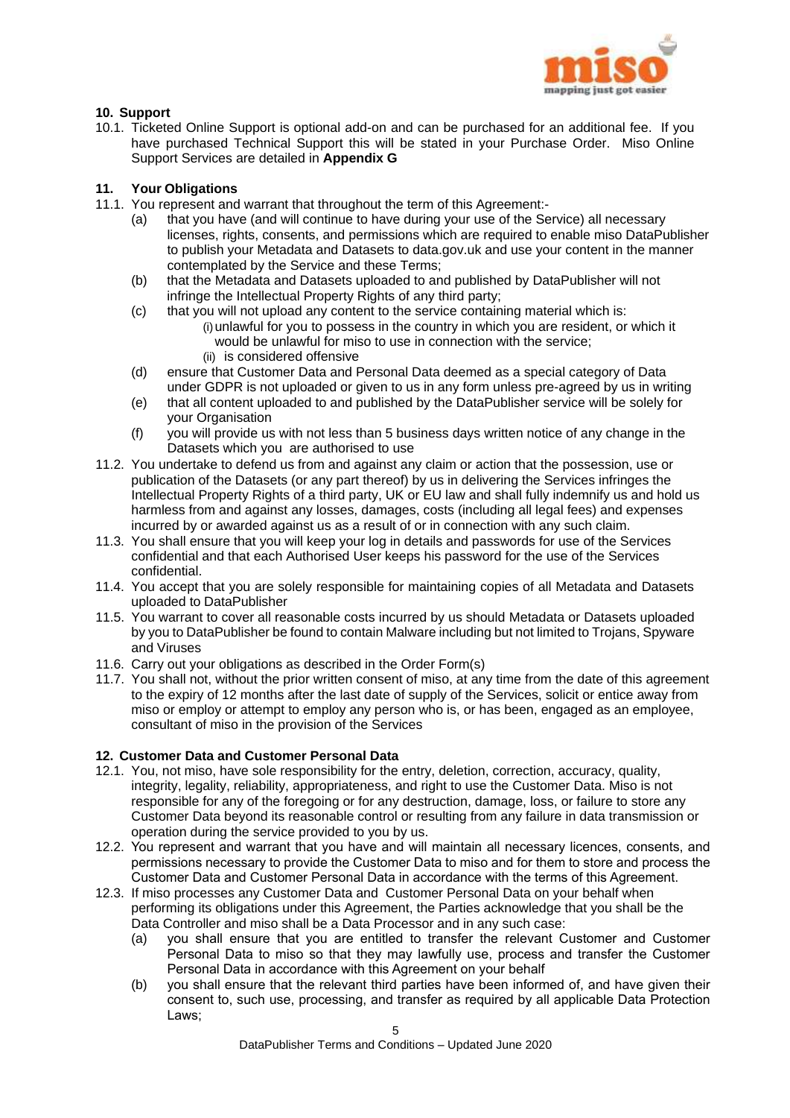

## **10. Support**

10.1. Ticketed Online Support is optional add-on and can be purchased for an additional fee. If you have purchased Technical Support this will be stated in your Purchase Order. Miso Online Support Services are detailed in **Appendix G**

## **11. Your Obligations**

- 11.1. You represent and warrant that throughout the term of this Agreement:-
	- (a) that you have (and will continue to have during your use of the Service) all necessary licenses, rights, consents, and permissions which are required to enable miso DataPublisher to publish your Metadata and Datasets to data.gov.uk and use your content in the manner contemplated by the Service and these Terms;
	- (b) that the Metadata and Datasets uploaded to and published by DataPublisher will not infringe the Intellectual Property Rights of any third party;
	- (c) that you will not upload any content to the service containing material which is: (i) unlawful for you to possess in the country in which you are resident, or which it would be unlawful for miso to use in connection with the service; (ii) is considered offensive
	- (d) ensure that Customer Data and Personal Data deemed as a special category of Data under GDPR is not uploaded or given to us in any form unless pre-agreed by us in writing
	- (e) that all content uploaded to and published by the DataPublisher service will be solely for your Organisation
	- (f) you will provide us with not less than 5 business days written notice of any change in the Datasets which you are authorised to use
- 11.2. You undertake to defend us from and against any claim or action that the possession, use or publication of the Datasets (or any part thereof) by us in delivering the Services infringes the Intellectual Property Rights of a third party, UK or EU law and shall fully indemnify us and hold us harmless from and against any losses, damages, costs (including all legal fees) and expenses incurred by or awarded against us as a result of or in connection with any such claim.
- 11.3. You shall ensure that you will keep your log in details and passwords for use of the Services confidential and that each Authorised User keeps his password for the use of the Services confidential.
- 11.4. You accept that you are solely responsible for maintaining copies of all Metadata and Datasets uploaded to DataPublisher
- 11.5. You warrant to cover all reasonable costs incurred by us should Metadata or Datasets uploaded by you to DataPublisher be found to contain Malware including but not limited to Trojans, Spyware and Viruses
- 11.6. Carry out your obligations as described in the Order Form(s)
- 11.7. You shall not, without the prior written consent of miso, at any time from the date of this agreement to the expiry of 12 months after the last date of supply of the Services, solicit or entice away from miso or employ or attempt to employ any person who is, or has been, engaged as an employee, consultant of miso in the provision of the Services

## **12. Customer Data and Customer Personal Data**

- 12.1. You, not miso, have sole responsibility for the entry, deletion, correction, accuracy, quality, integrity, legality, reliability, appropriateness, and right to use the Customer Data. Miso is not responsible for any of the foregoing or for any destruction, damage, loss, or failure to store any Customer Data beyond its reasonable control or resulting from any failure in data transmission or operation during the service provided to you by us.
- 12.2. You represent and warrant that you have and will maintain all necessary licences, consents, and permissions necessary to provide the Customer Data to miso and for them to store and process the Customer Data and Customer Personal Data in accordance with the terms of this Agreement.
- 12.3. If miso processes any Customer Data and Customer Personal Data on your behalf when performing its obligations under this Agreement, the Parties acknowledge that you shall be the Data Controller and miso shall be a Data Processor and in any such case:
	- (a) you shall ensure that you are entitled to transfer the relevant Customer and Customer Personal Data to miso so that they may lawfully use, process and transfer the Customer Personal Data in accordance with this Agreement on your behalf
	- (b) you shall ensure that the relevant third parties have been informed of, and have given their consent to, such use, processing, and transfer as required by all applicable Data Protection Laws;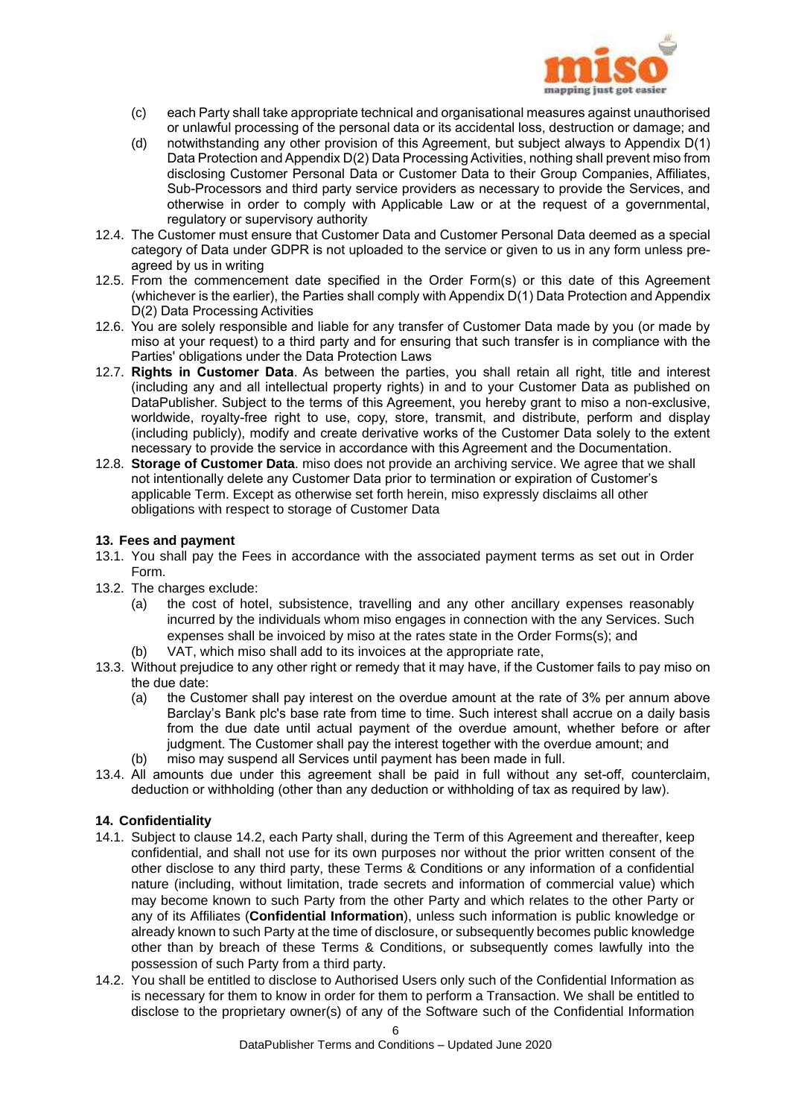

- (c) each Party shall take appropriate technical and organisational measures against unauthorised or unlawful processing of the personal data or its accidental loss, destruction or damage; and
- (d) notwithstanding any other provision of this Agreement, but subject always to Appendix D(1) Data Protection and Appendix D(2) Data Processing Activities, nothing shall prevent miso from disclosing Customer Personal Data or Customer Data to their Group Companies, Affiliates, Sub-Processors and third party service providers as necessary to provide the Services, and otherwise in order to comply with Applicable Law or at the request of a governmental, regulatory or supervisory authority
- 12.4. The Customer must ensure that Customer Data and Customer Personal Data deemed as a special category of Data under GDPR is not uploaded to the service or given to us in any form unless preagreed by us in writing
- 12.5. From the commencement date specified in the Order Form(s) or this date of this Agreement (whichever is the earlier), the Parties shall comply with Appendix D(1) Data Protection and Appendix D(2) Data Processing Activities
- 12.6. You are solely responsible and liable for any transfer of Customer Data made by you (or made by miso at your request) to a third party and for ensuring that such transfer is in compliance with the Parties' obligations under the Data Protection Laws
- 12.7. **Rights in Customer Data**. As between the parties, you shall retain all right, title and interest (including any and all intellectual property rights) in and to your Customer Data as published on DataPublisher. Subject to the terms of this Agreement, you hereby grant to miso a non-exclusive, worldwide, royalty-free right to use, copy, store, transmit, and distribute, perform and display (including publicly), modify and create derivative works of the Customer Data solely to the extent necessary to provide the service in accordance with this Agreement and the Documentation.
- 12.8. **Storage of Customer Data**. miso does not provide an archiving service. We agree that we shall not intentionally delete any Customer Data prior to termination or expiration of Customer's applicable Term. Except as otherwise set forth herein, miso expressly disclaims all other obligations with respect to storage of Customer Data

## **13. Fees and payment**

- 13.1. You shall pay the Fees in accordance with the associated payment terms as set out in Order Form.
- 13.2. The charges exclude:
	- (a) the cost of hotel, subsistence, travelling and any other ancillary expenses reasonably incurred by the individuals whom miso engages in connection with the any Services. Such expenses shall be invoiced by miso at the rates state in the Order Forms(s); and
	- (b) VAT, which miso shall add to its invoices at the appropriate rate,
- 13.3. Without prejudice to any other right or remedy that it may have, if the Customer fails to pay miso on the due date:
	- (a) the Customer shall pay interest on the overdue amount at the rate of 3% per annum above Barclay's Bank plc's base rate from time to time. Such interest shall accrue on a daily basis from the due date until actual payment of the overdue amount, whether before or after judgment. The Customer shall pay the interest together with the overdue amount; and
	- (b) miso may suspend all Services until payment has been made in full.
- 13.4. All amounts due under this agreement shall be paid in full without any set-off, counterclaim, deduction or withholding (other than any deduction or withholding of tax as required by law).

## **14. Confidentiality**

- 14.1. Subject to clause 14.2, each Party shall, during the Term of this Agreement and thereafter, keep confidential, and shall not use for its own purposes nor without the prior written consent of the other disclose to any third party, these Terms & Conditions or any information of a confidential nature (including, without limitation, trade secrets and information of commercial value) which may become known to such Party from the other Party and which relates to the other Party or any of its Affiliates (**Confidential Information**), unless such information is public knowledge or already known to such Party at the time of disclosure, or subsequently becomes public knowledge other than by breach of these Terms & Conditions, or subsequently comes lawfully into the possession of such Party from a third party.
- 14.2. You shall be entitled to disclose to Authorised Users only such of the Confidential Information as is necessary for them to know in order for them to perform a Transaction. We shall be entitled to disclose to the proprietary owner(s) of any of the Software such of the Confidential Information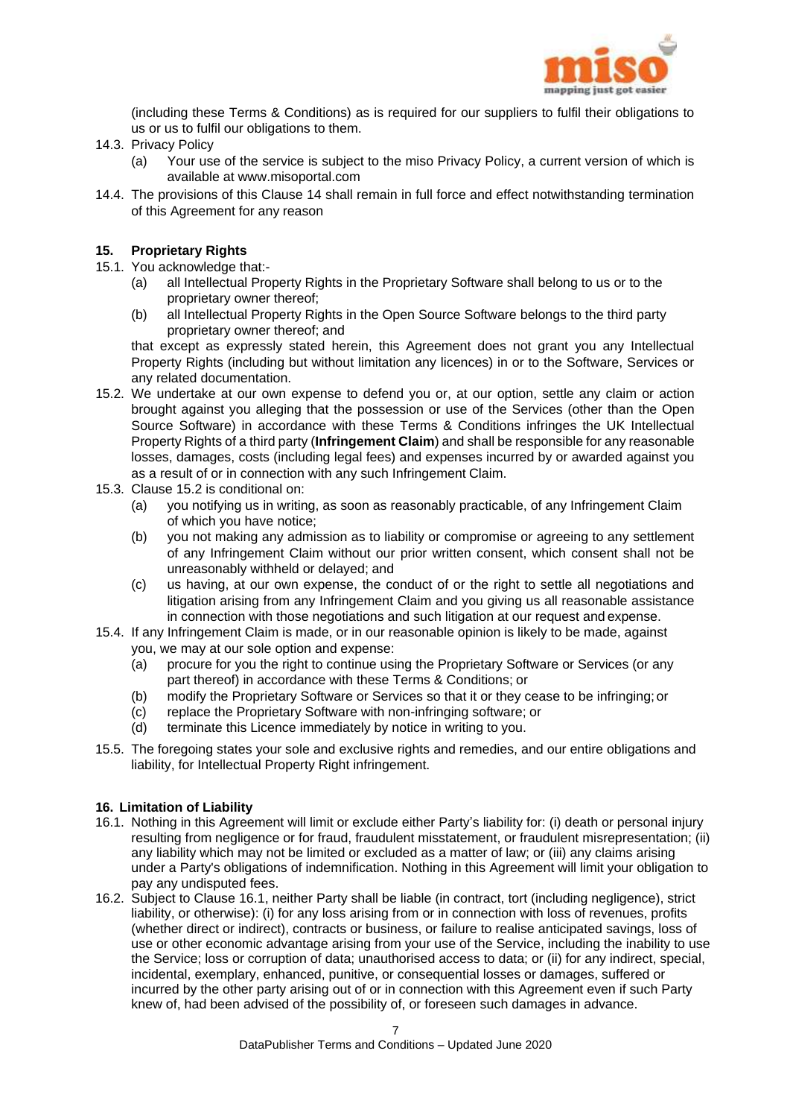

(including these Terms & Conditions) as is required for our suppliers to fulfil their obligations to us or us to fulfil our obligations to them.

- 14.3. Privacy Policy
	- (a) Your use of the service is subject to the miso Privacy Policy, a current version of which is available at www.misoportal.com
- 14.4. The provisions of this Clause 14 shall remain in full force and effect notwithstanding termination of this Agreement for any reason

## **15. Proprietary Rights**

- 15.1. You acknowledge that:-
	- (a) all Intellectual Property Rights in the Proprietary Software shall belong to us or to the proprietary owner thereof;
	- (b) all Intellectual Property Rights in the Open Source Software belongs to the third party proprietary owner thereof; and

that except as expressly stated herein, this Agreement does not grant you any Intellectual Property Rights (including but without limitation any licences) in or to the Software, Services or any related documentation.

- 15.2. We undertake at our own expense to defend you or, at our option, settle any claim or action brought against you alleging that the possession or use of the Services (other than the Open Source Software) in accordance with these Terms & Conditions infringes the UK Intellectual Property Rights of a third party (**Infringement Claim**) and shall be responsible for any reasonable losses, damages, costs (including legal fees) and expenses incurred by or awarded against you as a result of or in connection with any such Infringement Claim.
- 15.3. Clause 15.2 is conditional on:
	- (a) you notifying us in writing, as soon as reasonably practicable, of any Infringement Claim of which you have notice;
	- (b) you not making any admission as to liability or compromise or agreeing to any settlement of any Infringement Claim without our prior written consent, which consent shall not be unreasonably withheld or delayed; and
	- (c) us having, at our own expense, the conduct of or the right to settle all negotiations and litigation arising from any Infringement Claim and you giving us all reasonable assistance in connection with those negotiations and such litigation at our request and expense.
- 15.4. If any Infringement Claim is made, or in our reasonable opinion is likely to be made, against you, we may at our sole option and expense:
	- (a) procure for you the right to continue using the Proprietary Software or Services (or any part thereof) in accordance with these Terms & Conditions; or
	- (b) modify the Proprietary Software or Services so that it or they cease to be infringing;or
	- (c) replace the Proprietary Software with non-infringing software; or
	- (d) terminate this Licence immediately by notice in writing to you.
- 15.5. The foregoing states your sole and exclusive rights and remedies, and our entire obligations and liability, for Intellectual Property Right infringement.

#### **16. Limitation of Liability**

- 16.1. Nothing in this Agreement will limit or exclude either Party's liability for: (i) death or personal injury resulting from negligence or for fraud, fraudulent misstatement, or fraudulent misrepresentation; (ii) any liability which may not be limited or excluded as a matter of law; or (iii) any claims arising under a Party's obligations of indemnification. Nothing in this Agreement will limit your obligation to pay any undisputed fees.
- 16.2. Subject to Clause 16.1, neither Party shall be liable (in contract, tort (including negligence), strict liability, or otherwise): (i) for any loss arising from or in connection with loss of revenues, profits (whether direct or indirect), contracts or business, or failure to realise anticipated savings, loss of use or other economic advantage arising from your use of the Service, including the inability to use the Service; loss or corruption of data; unauthorised access to data; or (ii) for any indirect, special, incidental, exemplary, enhanced, punitive, or consequential losses or damages, suffered or incurred by the other party arising out of or in connection with this Agreement even if such Party knew of, had been advised of the possibility of, or foreseen such damages in advance.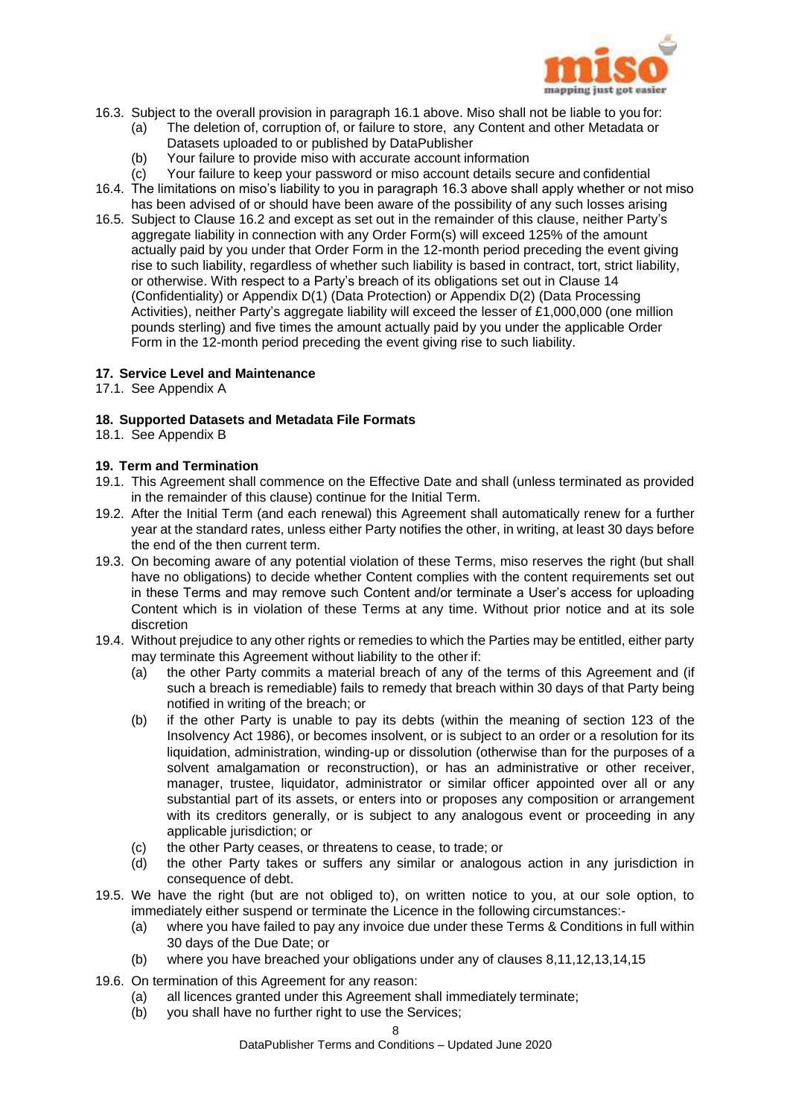

- 16.3. Subject to the overall provision in paragraph 16.1 above. Miso shall not be liable to you for:
	- (a) The deletion of, corruption of, or failure to store, any Content and other Metadata or Datasets uploaded to or published by DataPublisher
		-
	- (b) Your failure to provide miso with accurate account information
- (c) Your failure to keep your password or miso account details secure and confidential 16.4. The limitations on miso's liability to you in paragraph 16.3 above shall apply whether or not miso has been advised of or should have been aware of the possibility of any such losses arising
- 16.5. Subject to Clause 16.2 and except as set out in the remainder of this clause, neither Party's aggregate liability in connection with any Order Form(s) will exceed 125% of the amount actually paid by you under that Order Form in the 12-month period preceding the event giving rise to such liability, regardless of whether such liability is based in contract, tort, strict liability, or otherwise. With respect to a Party's breach of its obligations set out in Clause 14 (Confidentiality) or Appendix D(1) (Data Protection) or Appendix D(2) (Data Processing Activities), neither Party's aggregate liability will exceed the lesser of £1,000,000 (one million pounds sterling) and five times the amount actually paid by you under the applicable Order Form in the 12-month period preceding the event giving rise to such liability.

## **17. Service Level and Maintenance**

17.1. See Appendix A

## **18. Supported Datasets and Metadata File Formats**

18.1. See Appendix B

## **19. Term and Termination**

- 19.1. This Agreement shall commence on the Effective Date and shall (unless terminated as provided in the remainder of this clause) continue for the Initial Term.
- 19.2. After the Initial Term (and each renewal) this Agreement shall automatically renew for a further year at the standard rates, unless either Party notifies the other, in writing, at least 30 days before the end of the then current term.
- 19.3. On becoming aware of any potential violation of these Terms, miso reserves the right (but shall have no obligations) to decide whether Content complies with the content requirements set out in these Terms and may remove such Content and/or terminate a User's access for uploading Content which is in violation of these Terms at any time. Without prior notice and at its sole discretion
- 19.4. Without prejudice to any other rights or remedies to which the Parties may be entitled, either party may terminate this Agreement without liability to the other if:
	- (a) the other Party commits a material breach of any of the terms of this Agreement and (if such a breach is remediable) fails to remedy that breach within 30 days of that Party being notified in writing of the breach; or
	- (b) if the other Party is unable to pay its debts (within the meaning of section 123 of the Insolvency Act 1986), or becomes insolvent, or is subject to an order or a resolution for its liquidation, administration, winding-up or dissolution (otherwise than for the purposes of a solvent amalgamation or reconstruction), or has an administrative or other receiver, manager, trustee, liquidator, administrator or similar officer appointed over all or any substantial part of its assets, or enters into or proposes any composition or arrangement with its creditors generally, or is subject to any analogous event or proceeding in any applicable jurisdiction; or
	- (c) the other Party ceases, or threatens to cease, to trade; or
	- (d) the other Party takes or suffers any similar or analogous action in any jurisdiction in consequence of debt.
- 19.5. We have the right (but are not obliged to), on written notice to you, at our sole option, to immediately either suspend or terminate the Licence in the following circumstances:-
	- (a) where you have failed to pay any invoice due under these Terms & Conditions in full within 30 days of the Due Date; or
	- (b) where you have breached your obligations under any of clauses 8,11,12,13,14,15
- 19.6. On termination of this Agreement for any reason:
	- (a) all licences granted under this Agreement shall immediately terminate;
	- (b) you shall have no further right to use the Services;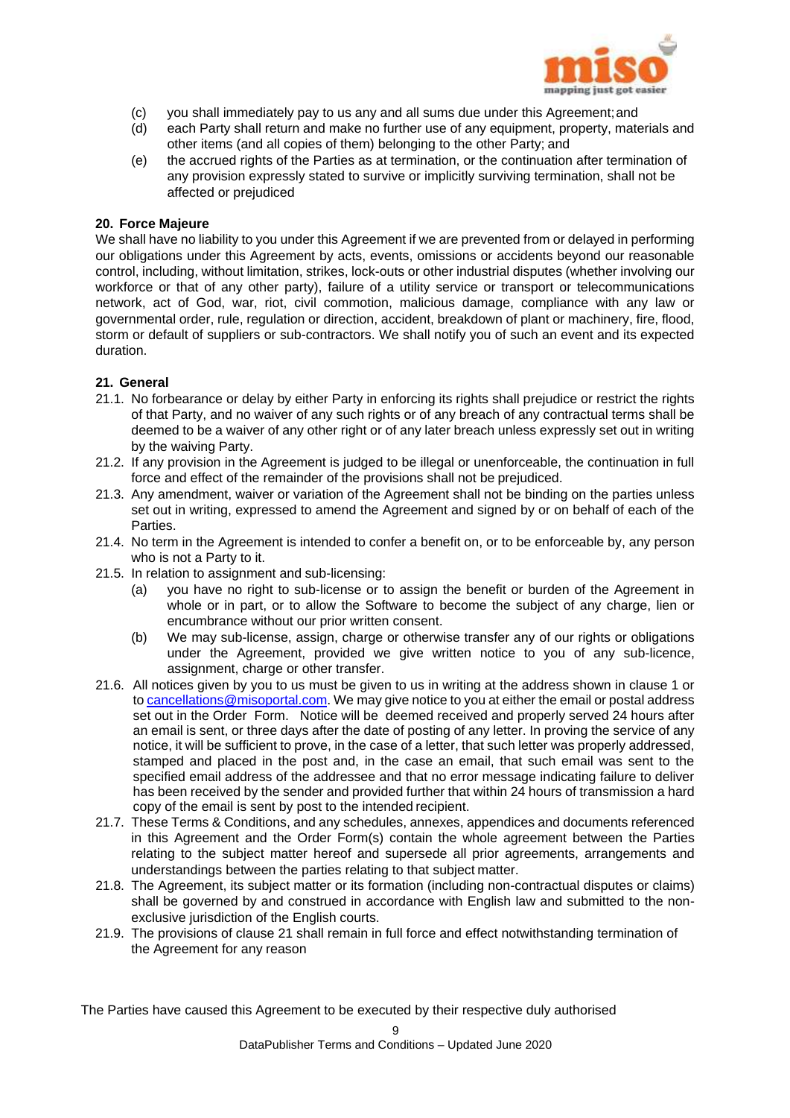

- (c) you shall immediately pay to us any and all sums due under this Agreement;and
- (d) each Party shall return and make no further use of any equipment, property, materials and other items (and all copies of them) belonging to the other Party; and
- (e) the accrued rights of the Parties as at termination, or the continuation after termination of any provision expressly stated to survive or implicitly surviving termination, shall not be affected or prejudiced

## **20. Force Majeure**

We shall have no liability to you under this Agreement if we are prevented from or delayed in performing our obligations under this Agreement by acts, events, omissions or accidents beyond our reasonable control, including, without limitation, strikes, lock-outs or other industrial disputes (whether involving our workforce or that of any other party), failure of a utility service or transport or telecommunications network, act of God, war, riot, civil commotion, malicious damage, compliance with any law or governmental order, rule, regulation or direction, accident, breakdown of plant or machinery, fire, flood, storm or default of suppliers or sub-contractors. We shall notify you of such an event and its expected duration.

## **21. General**

- 21.1. No forbearance or delay by either Party in enforcing its rights shall prejudice or restrict the rights of that Party, and no waiver of any such rights or of any breach of any contractual terms shall be deemed to be a waiver of any other right or of any later breach unless expressly set out in writing by the waiving Party.
- 21.2. If any provision in the Agreement is judged to be illegal or unenforceable, the continuation in full force and effect of the remainder of the provisions shall not be prejudiced.
- 21.3. Any amendment, waiver or variation of the Agreement shall not be binding on the parties unless set out in writing, expressed to amend the Agreement and signed by or on behalf of each of the Parties.
- 21.4. No term in the Agreement is intended to confer a benefit on, or to be enforceable by, any person who is not a Party to it.
- 21.5. In relation to assignment and sub-licensing:
	- (a) you have no right to sub-license or to assign the benefit or burden of the Agreement in whole or in part, or to allow the Software to become the subject of any charge, lien or encumbrance without our prior written consent.
	- (b) We may sub-license, assign, charge or otherwise transfer any of our rights or obligations under the Agreement, provided we give written notice to you of any sub-licence, assignment, charge or other transfer.
- 21.6. All notices given by you to us must be given to us in writing at the address shown in clause 1 or to [cancellations@misoportal.com.](mailto:cancellations@misoportal.com) We may give notice to you at either the email or postal address set out in the Order Form. Notice will be deemed received and properly served 24 hours after an email is sent, or three days after the date of posting of any letter. In proving the service of any notice, it will be sufficient to prove, in the case of a letter, that such letter was properly addressed, stamped and placed in the post and, in the case an email, that such email was sent to the specified email address of the addressee and that no error message indicating failure to deliver has been received by the sender and provided further that within 24 hours of transmission a hard copy of the email is sent by post to the intended recipient.
- 21.7. These Terms & Conditions, and any schedules, annexes, appendices and documents referenced in this Agreement and the Order Form(s) contain the whole agreement between the Parties relating to the subject matter hereof and supersede all prior agreements, arrangements and understandings between the parties relating to that subject matter.
- 21.8. The Agreement, its subject matter or its formation (including non-contractual disputes or claims) shall be governed by and construed in accordance with English law and submitted to the nonexclusive jurisdiction of the English courts.
- 21.9. The provisions of clause 21 shall remain in full force and effect notwithstanding termination of the Agreement for any reason

The Parties have caused this Agreement to be executed by their respective duly authorised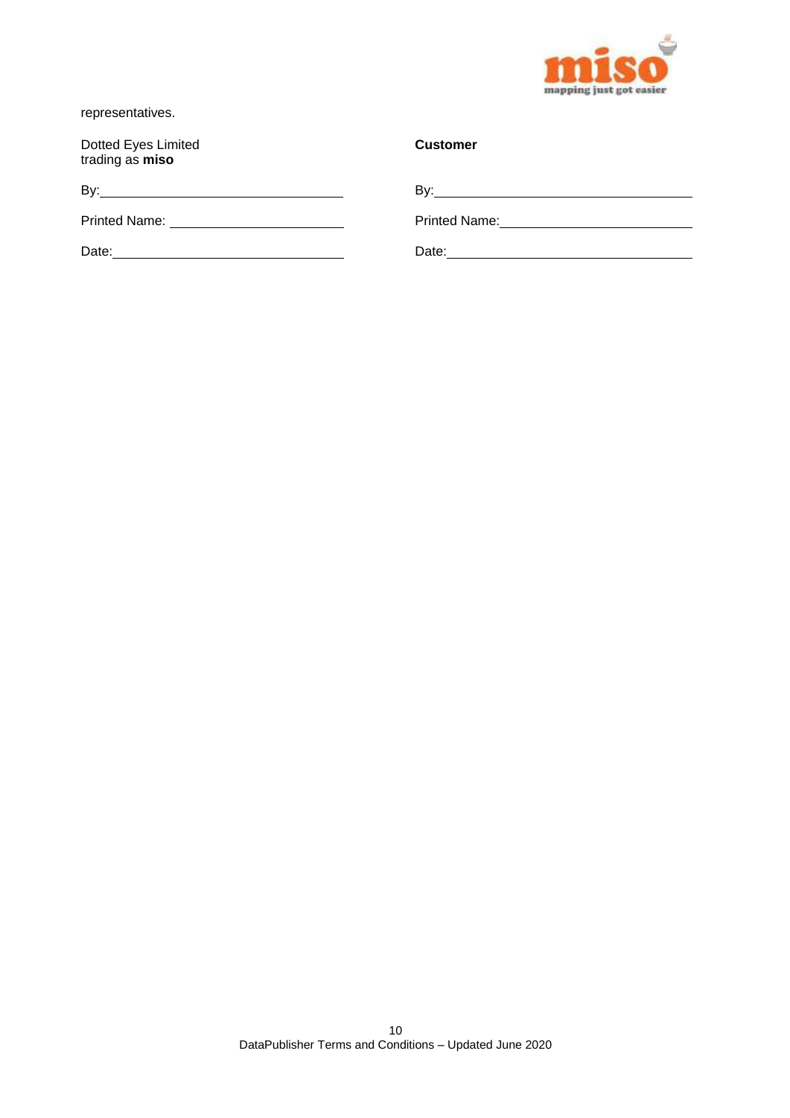

representatives.

Dotted Eyes Limited trading as **miso**

By: By:

Printed Name: Printed Name:

Date: Date: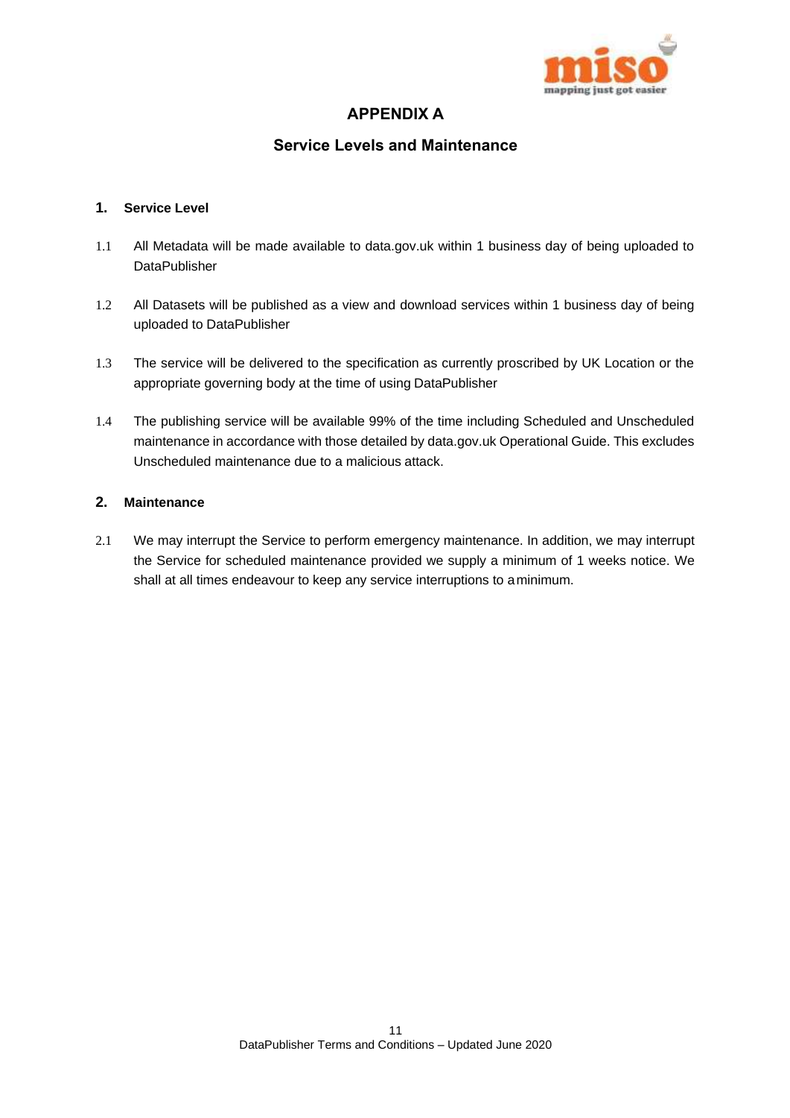

## **APPENDIX A**

## **Service Levels and Maintenance**

## **1. Service Level**

- 1.1 All Metadata will be made available to data.gov.uk within 1 business day of being uploaded to **DataPublisher**
- 1.2 All Datasets will be published as a view and download services within 1 business day of being uploaded to DataPublisher
- 1.3 The service will be delivered to the specification as currently proscribed by UK Location or the appropriate governing body at the time of using DataPublisher
- 1.4 The publishing service will be available 99% of the time including Scheduled and Unscheduled maintenance in accordance with those detailed by data.gov.uk Operational Guide. This excludes Unscheduled maintenance due to a malicious attack.

## **2. Maintenance**

2.1 We may interrupt the Service to perform emergency maintenance. In addition, we may interrupt the Service for scheduled maintenance provided we supply a minimum of 1 weeks notice. We shall at all times endeavour to keep any service interruptions to aminimum.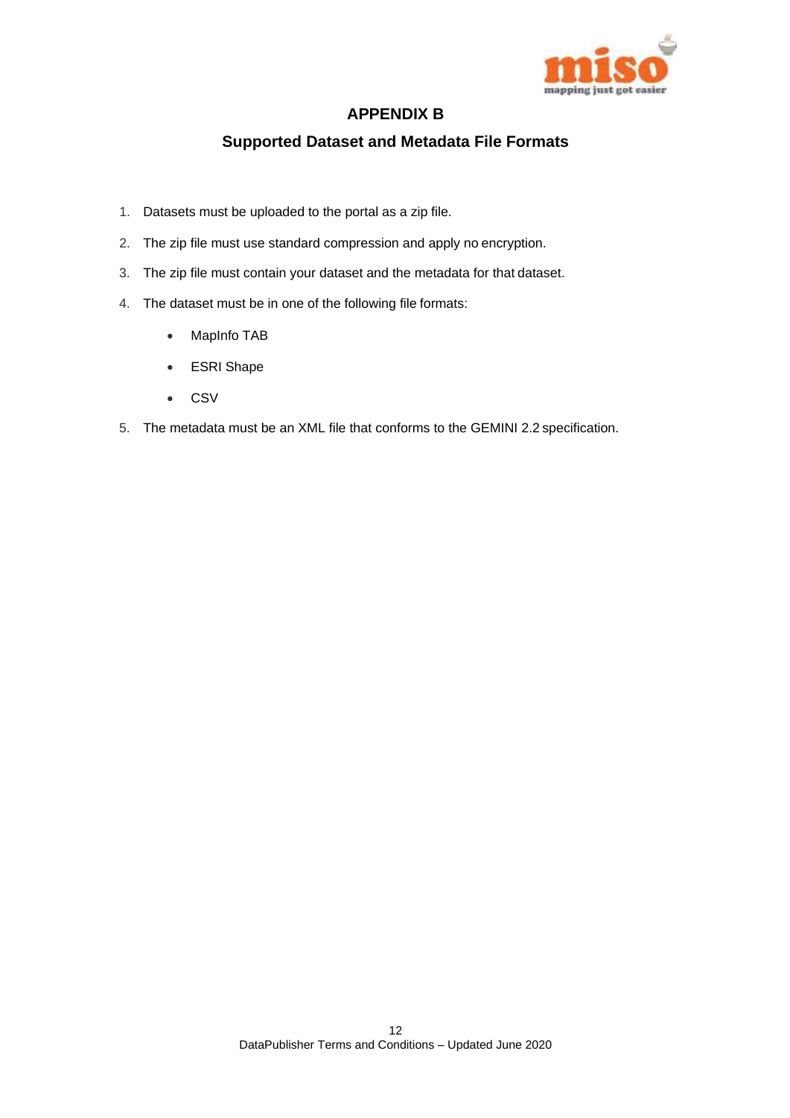

## **APPENDIX B**

## **Supported Dataset and Metadata File Formats**

- 1. Datasets must be uploaded to the portal as a zip file.
- 2. The zip file must use standard compression and apply no encryption.
- 3. The zip file must contain your dataset and the metadata for that dataset.
- 4. The dataset must be in one of the following file formats:
	- MapInfo TAB
	- ESRI Shape
	- CSV
- 5. The metadata must be an XML file that conforms to the GEMINI 2.2 specification.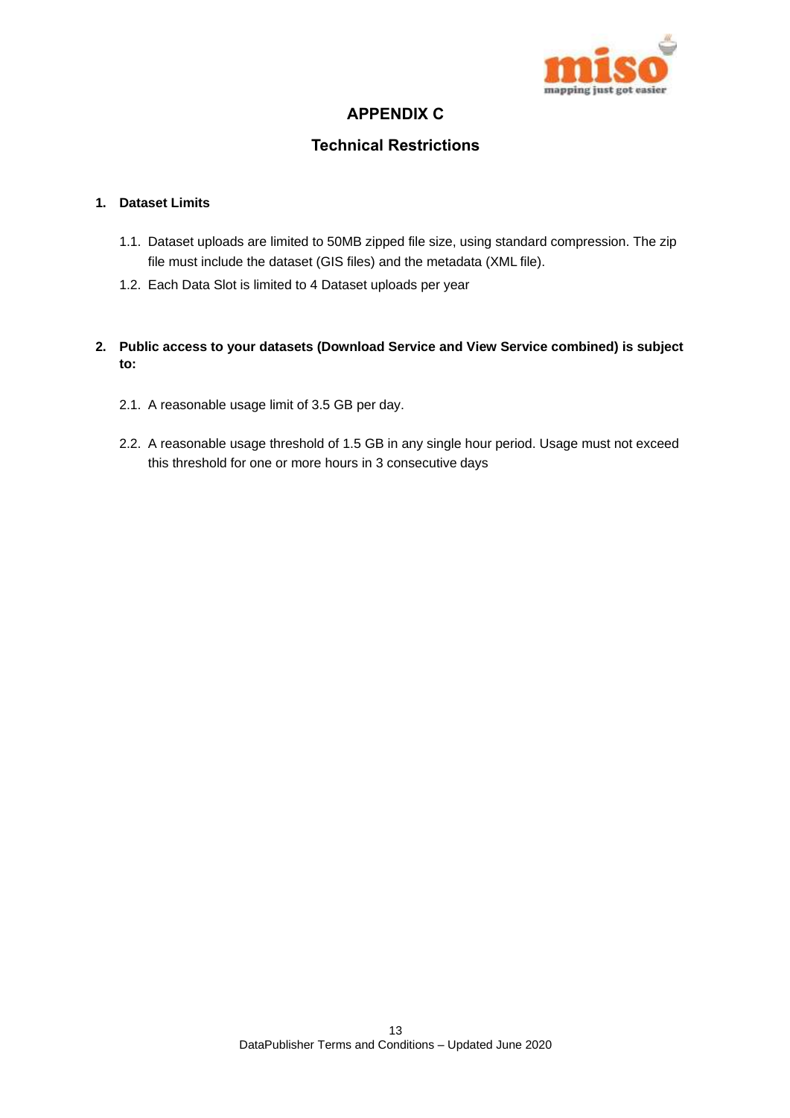

## **APPENDIX C**

## **Technical Restrictions**

## **1. Dataset Limits**

- 1.1. Dataset uploads are limited to 50MB zipped file size, using standard compression. The zip file must include the dataset (GIS files) and the metadata (XML file).
- 1.2. Each Data Slot is limited to 4 Dataset uploads per year
- **2. Public access to your datasets (Download Service and View Service combined) is subject to:**
	- 2.1. A reasonable usage limit of 3.5 GB per day.
	- 2.2. A reasonable usage threshold of 1.5 GB in any single hour period. Usage must not exceed this threshold for one or more hours in 3 consecutive days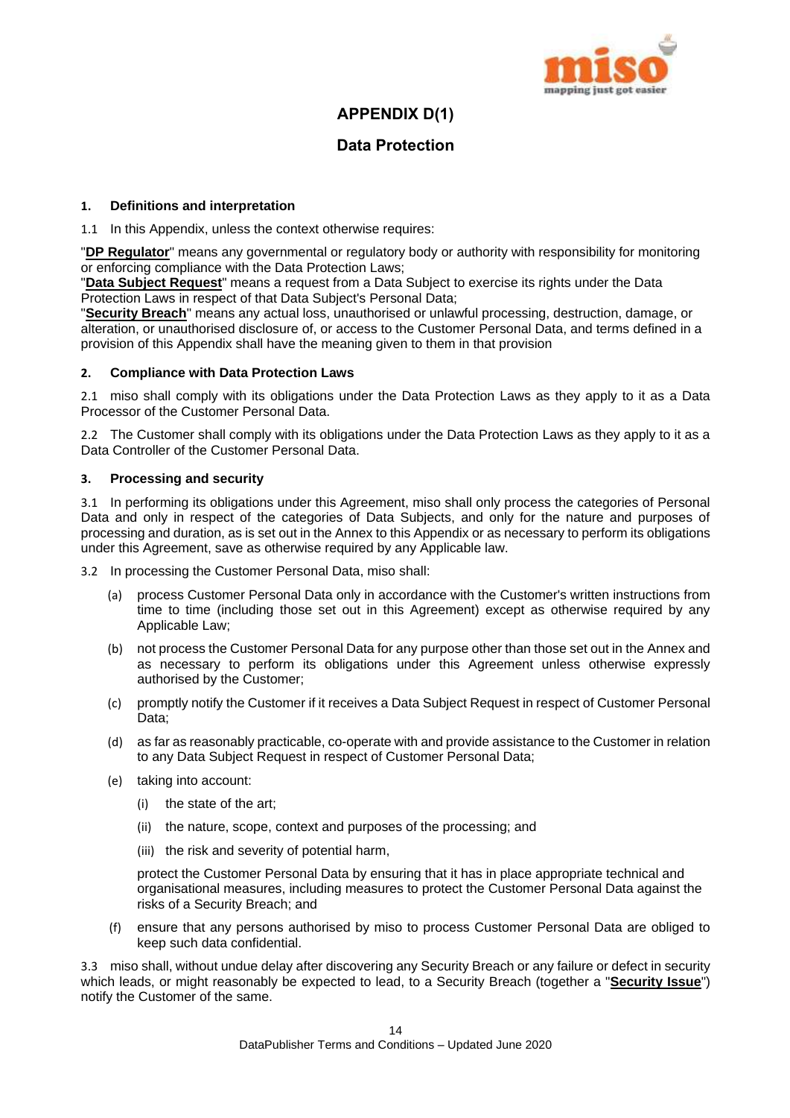

## **APPENDIX D(1)**

## **Data Protection**

## **1. Definitions and interpretation**

1.1 In this Appendix, unless the context otherwise requires:

"**DP Regulator**" means any governmental or regulatory body or authority with responsibility for monitoring or enforcing compliance with the Data Protection Laws;

"**Data Subject Request**" means a request from a Data Subject to exercise its rights under the Data Protection Laws in respect of that Data Subject's Personal Data;

"**Security Breach**" means any actual loss, unauthorised or unlawful processing, destruction, damage, or alteration, or unauthorised disclosure of, or access to the Customer Personal Data, and terms defined in a provision of this Appendix shall have the meaning given to them in that provision

## **2. Compliance with Data Protection Laws**

2.1 miso shall comply with its obligations under the Data Protection Laws as they apply to it as a Data Processor of the Customer Personal Data.

2.2 The Customer shall comply with its obligations under the Data Protection Laws as they apply to it as a Data Controller of the Customer Personal Data.

## **3. Processing and security**

3.1 In performing its obligations under this Agreement, miso shall only process the categories of Personal Data and only in respect of the categories of Data Subjects, and only for the nature and purposes of processing and duration, as is set out in the Annex to this Appendix or as necessary to perform its obligations under this Agreement, save as otherwise required by any Applicable law.

3.2 In processing the Customer Personal Data, miso shall:

- (a) process Customer Personal Data only in accordance with the Customer's written instructions from time to time (including those set out in this Agreement) except as otherwise required by any Applicable Law;
- (b) not process the Customer Personal Data for any purpose other than those set out in the Annex and as necessary to perform its obligations under this Agreement unless otherwise expressly authorised by the Customer;
- (c) promptly notify the Customer if it receives a Data Subject Request in respect of Customer Personal Data;
- (d) as far as reasonably practicable, co-operate with and provide assistance to the Customer in relation to any Data Subject Request in respect of Customer Personal Data;
- (e) taking into account:
	- (i) the state of the art;
	- (ii) the nature, scope, context and purposes of the processing; and
	- (iii) the risk and severity of potential harm,

protect the Customer Personal Data by ensuring that it has in place appropriate technical and organisational measures, including measures to protect the Customer Personal Data against the risks of a Security Breach; and

(f) ensure that any persons authorised by miso to process Customer Personal Data are obliged to keep such data confidential.

3.3 miso shall, without undue delay after discovering any Security Breach or any failure or defect in security which leads, or might reasonably be expected to lead, to a Security Breach (together a "**Security Issue**") notify the Customer of the same.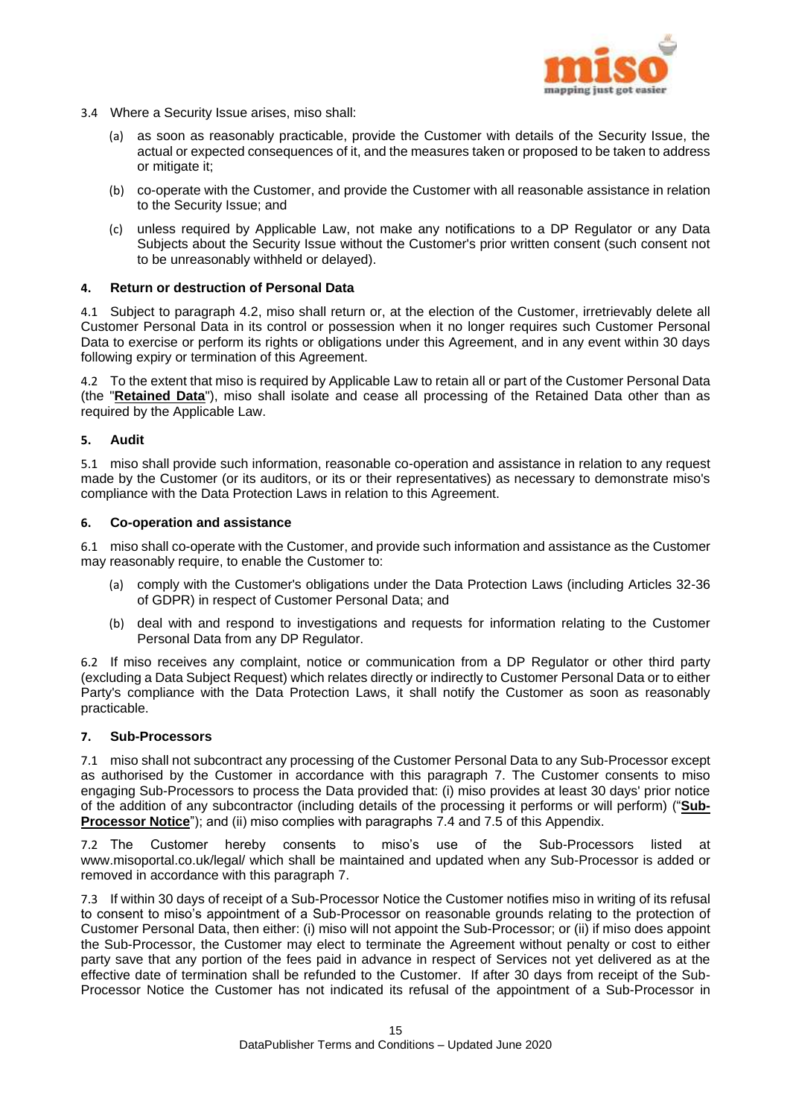

- 3.4 Where a Security Issue arises, miso shall:
	- (a) as soon as reasonably practicable, provide the Customer with details of the Security Issue, the actual or expected consequences of it, and the measures taken or proposed to be taken to address or mitigate it;
	- (b) co-operate with the Customer, and provide the Customer with all reasonable assistance in relation to the Security Issue; and
	- (c) unless required by Applicable Law, not make any notifications to a DP Regulator or any Data Subjects about the Security Issue without the Customer's prior written consent (such consent not to be unreasonably withheld or delayed).

## **4. Return or destruction of Personal Data**

4.1 Subject to paragraph [4.2,](#page-15-0) miso shall return or, at the election of the Customer, irretrievably delete all Customer Personal Data in its control or possession when it no longer requires such Customer Personal Data to exercise or perform its rights or obligations under this Agreement, and in any event within 30 days following expiry or termination of this Agreement.

<span id="page-15-0"></span>4.2 To the extent that miso is required by Applicable Law to retain all or part of the Customer Personal Data (the "**Retained Data**"), miso shall isolate and cease all processing of the Retained Data other than as required by the Applicable Law.

## **5. Audit**

5.1 miso shall provide such information, reasonable co-operation and assistance in relation to any request made by the Customer (or its auditors, or its or their representatives) as necessary to demonstrate miso's compliance with the Data Protection Laws in relation to this Agreement.

#### **6. Co-operation and assistance**

6.1 miso shall co-operate with the Customer, and provide such information and assistance as the Customer may reasonably require, to enable the Customer to:

- (a) comply with the Customer's obligations under the Data Protection Laws (including Articles 32-36 of GDPR) in respect of Customer Personal Data; and
- (b) deal with and respond to investigations and requests for information relating to the Customer Personal Data from any DP Regulator.

6.2 If miso receives any complaint, notice or communication from a DP Regulator or other third party (excluding a Data Subject Request) which relates directly or indirectly to Customer Personal Data or to either Party's compliance with the Data Protection Laws, it shall notify the Customer as soon as reasonably practicable.

## <span id="page-15-1"></span>**7. Sub-Processors**

7.1 miso shall not subcontract any processing of the Customer Personal Data to any Sub-Processor except as authorised by the Customer in accordance with this paragraph [7.](#page-15-1) The Customer consents to miso engaging Sub-Processors to process the Data provided that: (i) miso provides at least 30 days' prior notice of the addition of any subcontractor (including details of the processing it performs or will perform) ("**Sub-Processor Notice**"); and (ii) miso complies with paragraphs [7.4](#page-16-0) and [7.5](#page-16-1) of this Appendix.

7.2 The Customer hereby consents to miso's use of the Sub-Processors listed at www.misoportal.co.uk/legal/ which shall be maintained and updated when any Sub-Processor is added or removed in accordance with this paragraph [7.](#page-15-1)

7.3 If within 30 days of receipt of a Sub-Processor Notice the Customer notifies miso in writing of its refusal to consent to miso's appointment of a Sub-Processor on reasonable grounds relating to the protection of Customer Personal Data, then either: (i) miso will not appoint the Sub-Processor; or (ii) if miso does appoint the Sub-Processor, the Customer may elect to terminate the Agreement without penalty or cost to either party save that any portion of the fees paid in advance in respect of Services not yet delivered as at the effective date of termination shall be refunded to the Customer. If after 30 days from receipt of the Sub-Processor Notice the Customer has not indicated its refusal of the appointment of a Sub-Processor in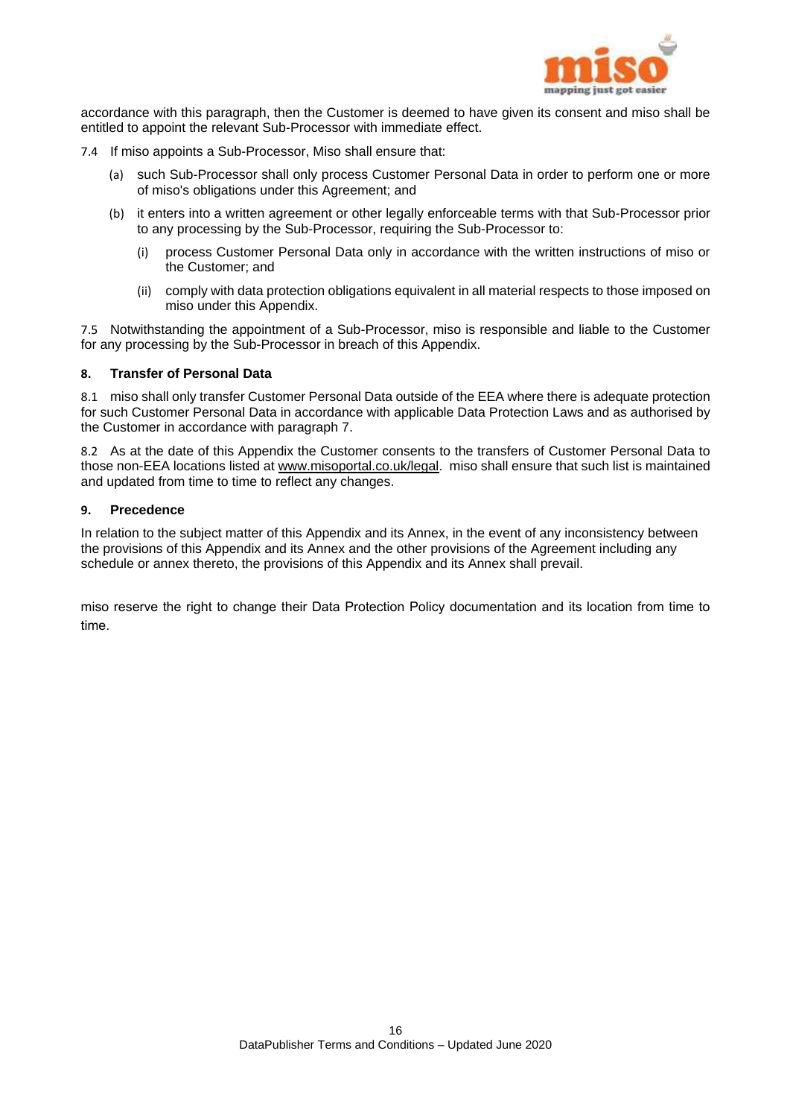

accordance with this paragraph, then the Customer is deemed to have given its consent and miso shall be entitled to appoint the relevant Sub-Processor with immediate effect.

- <span id="page-16-0"></span>7.4 If miso appoints a Sub-Processor, Miso shall ensure that:
	- (a) such Sub-Processor shall only process Customer Personal Data in order to perform one or more of miso's obligations under this Agreement; and
	- (b) it enters into a written agreement or other legally enforceable terms with that Sub-Processor prior to any processing by the Sub-Processor, requiring the Sub-Processor to:
		- (i) process Customer Personal Data only in accordance with the written instructions of miso or the Customer; and
		- (ii) comply with data protection obligations equivalent in all material respects to those imposed on miso under this Appendix.

<span id="page-16-1"></span>7.5 Notwithstanding the appointment of a Sub-Processor, miso is responsible and liable to the Customer for any processing by the Sub-Processor in breach of this Appendix.

#### **8. Transfer of Personal Data**

8.1 miso shall only transfer Customer Personal Data outside of the EEA where there is adequate protection for such Customer Personal Data in accordance with applicable Data Protection Laws and as authorised by the Customer in accordance with paragraph 7.

8.2 As at the date of this Appendix the Customer consents to the transfers of Customer Personal Data to those non-EEA locations listed a[t www.misoportal.co.uk/legal.](http://www.misoportal.co.uk/legal) miso shall ensure that such list is maintained and updated from time to time to reflect any changes.

#### **9. Precedence**

In relation to the subject matter of this Appendix and its Annex, in the event of any inconsistency between the provisions of this Appendix and its Annex and the other provisions of the Agreement including any schedule or annex thereto, the provisions of this Appendix and its Annex shall prevail.

miso reserve the right to change their Data Protection Policy documentation and its location from time to time.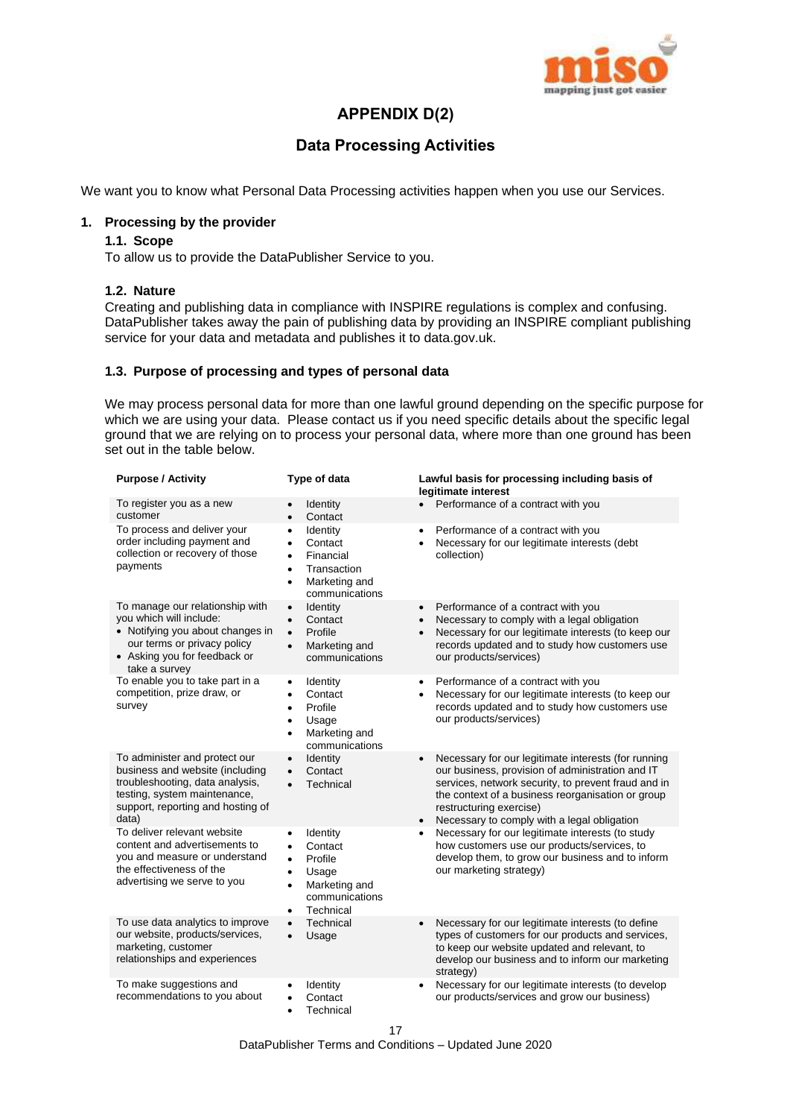

## **APPENDIX D(2)**

## **Data Processing Activities**

We want you to know what Personal Data Processing activities happen when you use our Services.

#### **1. Processing by the provider**

## **1.1. Scope**

To allow us to provide the DataPublisher Service to you.

## **1.2. Nature**

Creating and publishing data in compliance with INSPIRE regulations is complex and confusing. DataPublisher takes away the pain of publishing data by providing an INSPIRE compliant publishing service for your data and metadata and publishes it to data.gov.uk.

## **1.3. Purpose of processing and types of personal data**

We may process personal data for more than one lawful ground depending on the specific purpose for which we are using your data. Please contact us if you need specific details about the specific legal ground that we are relying on to process your personal data, where more than one ground has been set out in the table below.

| <b>Purpose / Activity</b>                                                                                                                                                         | Type of data                                                                                                                                                          | Lawful basis for processing including basis of<br>legitimate interest                                                                                                                                                                                                                                                   |
|-----------------------------------------------------------------------------------------------------------------------------------------------------------------------------------|-----------------------------------------------------------------------------------------------------------------------------------------------------------------------|-------------------------------------------------------------------------------------------------------------------------------------------------------------------------------------------------------------------------------------------------------------------------------------------------------------------------|
| To register you as a new<br>customer                                                                                                                                              | Identity<br>Contact<br>$\bullet$                                                                                                                                      | Performance of a contract with you<br>$\bullet$                                                                                                                                                                                                                                                                         |
| To process and deliver your<br>order including payment and<br>collection or recovery of those<br>payments                                                                         | Identity<br>$\bullet$<br>Contact<br>$\bullet$<br>Financial<br>$\bullet$<br>Transaction<br>$\bullet$<br>Marketing and<br>$\bullet$<br>communications                   | Performance of a contract with you<br>$\bullet$<br>Necessary for our legitimate interests (debt<br>$\bullet$<br>collection)                                                                                                                                                                                             |
| To manage our relationship with<br>you which will include:<br>• Notifying you about changes in<br>our terms or privacy policy<br>• Asking you for feedback or<br>take a survey    | Identity<br>$\bullet$<br>Contact<br>$\bullet$<br>Profile<br>$\bullet$<br>Marketing and<br>$\bullet$<br>communications                                                 | Performance of a contract with you<br>$\bullet$<br>Necessary to comply with a legal obligation<br>$\bullet$<br>Necessary for our legitimate interests (to keep our<br>$\bullet$<br>records updated and to study how customers use<br>our products/services)                                                             |
| To enable you to take part in a<br>competition, prize draw, or<br>survey                                                                                                          | Identity<br>$\bullet$<br>Contact<br>$\bullet$<br>Profile<br>$\bullet$<br>Usage<br>$\bullet$<br>Marketing and<br>$\bullet$<br>communications                           | Performance of a contract with you<br>$\bullet$<br>Necessary for our legitimate interests (to keep our<br>٠<br>records updated and to study how customers use<br>our products/services)                                                                                                                                 |
| To administer and protect our<br>business and website (including<br>troubleshooting, data analysis,<br>testing, system maintenance,<br>support, reporting and hosting of<br>data) | Identity<br>$\bullet$<br>Contact<br>$\bullet$<br>Technical<br>$\bullet$                                                                                               | Necessary for our legitimate interests (for running<br>$\bullet$<br>our business, provision of administration and IT<br>services, network security, to prevent fraud and in<br>the context of a business reorganisation or group<br>restructuring exercise)<br>Necessary to comply with a legal obligation<br>$\bullet$ |
| To deliver relevant website<br>content and advertisements to<br>you and measure or understand<br>the effectiveness of the<br>advertising we serve to you                          | Identity<br>$\bullet$<br>Contact<br>$\bullet$<br>Profile<br>$\bullet$<br>Usage<br>$\bullet$<br>Marketing and<br>$\bullet$<br>communications<br>Technical<br>$\bullet$ | Necessary for our legitimate interests (to study<br>$\bullet$<br>how customers use our products/services, to<br>develop them, to grow our business and to inform<br>our marketing strategy)                                                                                                                             |
| To use data analytics to improve<br>our website, products/services,<br>marketing, customer<br>relationships and experiences                                                       | Technical<br>$\bullet$<br>Usage<br>$\bullet$                                                                                                                          | Necessary for our legitimate interests (to define<br>$\bullet$<br>types of customers for our products and services,<br>to keep our website updated and relevant, to<br>develop our business and to inform our marketing<br>strategy)                                                                                    |
| To make suggestions and<br>recommendations to you about                                                                                                                           | Identity<br>$\bullet$<br>Contact<br>$\bullet$<br>Technical<br>٠                                                                                                       | Necessary for our legitimate interests (to develop<br>our products/services and grow our business)                                                                                                                                                                                                                      |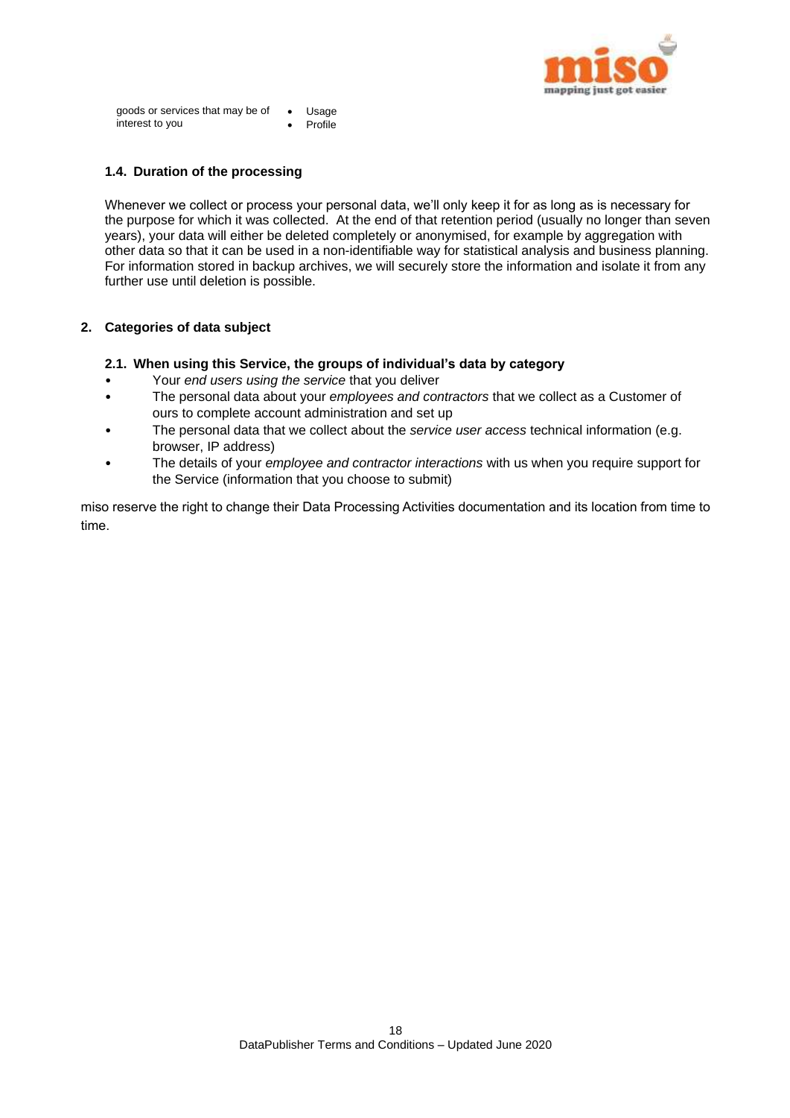

goods or services that may be of interest to you Usage Profile

## **1.4. Duration of the processing**

Whenever we collect or process your personal data, we'll only keep it for as long as is necessary for the purpose for which it was collected. At the end of that retention period (usually no longer than seven years), your data will either be deleted completely or anonymised, for example by aggregation with other data so that it can be used in a non-identifiable way for statistical analysis and business planning. For information stored in backup archives, we will securely store the information and isolate it from any further use until deletion is possible.

## **2. Categories of data subject**

## **2.1. When using this Service, the groups of individual's data by category**

- Your *end users using the service* that you deliver
- The personal data about your *employees and contractors* that we collect as a Customer of ours to complete account administration and set up
- The personal data that we collect about the *service user access* technical information (e.g. browser, IP address)
- The details of your *employee and contractor interactions* with us when you require support for the Service (information that you choose to submit)

miso reserve the right to change their Data Processing Activities documentation and its location from time to time.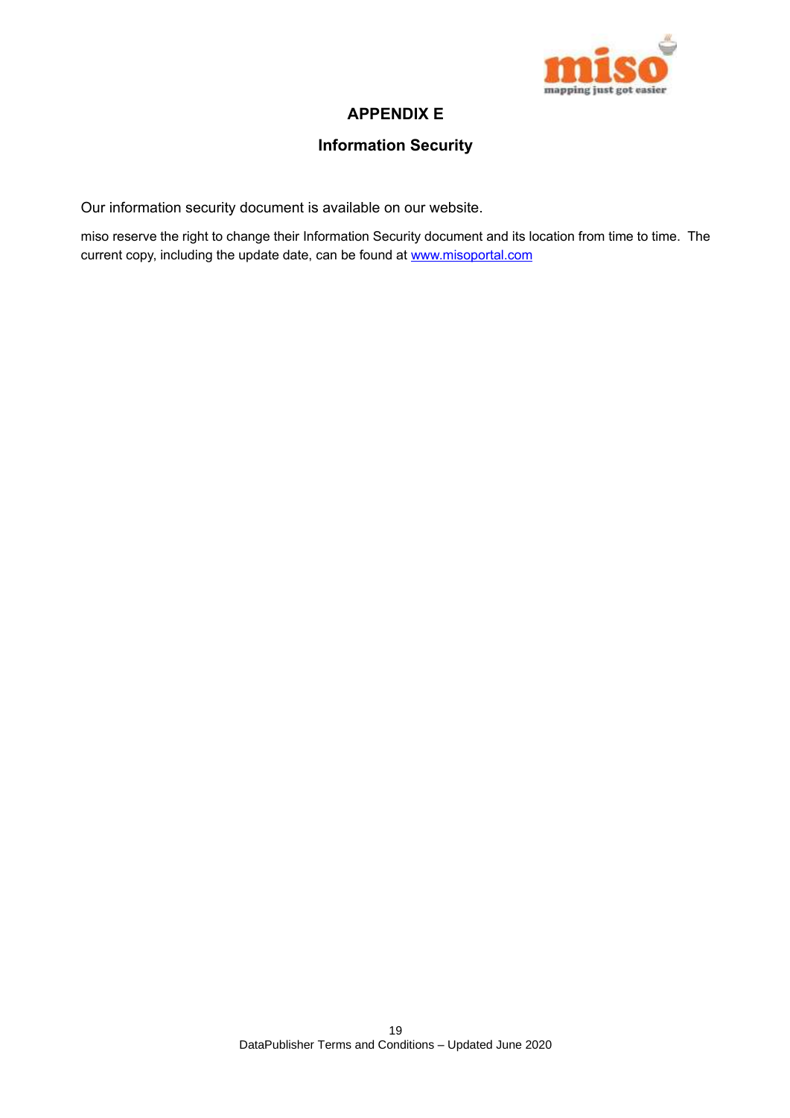

## **APPENDIX E**

## **Information Security**

Our information security document is available on our website.

miso reserve the right to change their Information Security document and its location from time to time. The current copy, including the update date, can be found at www.misoportal.com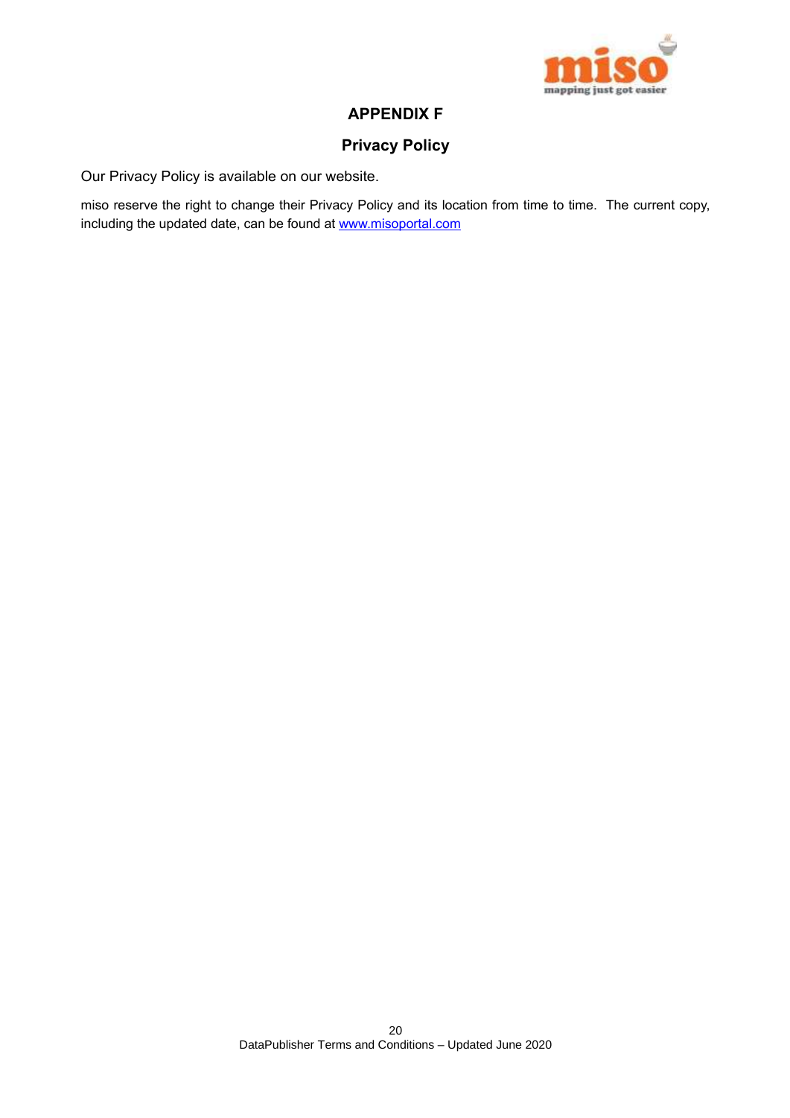

## **APPENDIX F**

## **Privacy Policy**

Our Privacy Policy is available on our website.

miso reserve the right to change their Privacy Policy and its location from time to time. The current copy, including the updated date, can be found at www.misoportal.com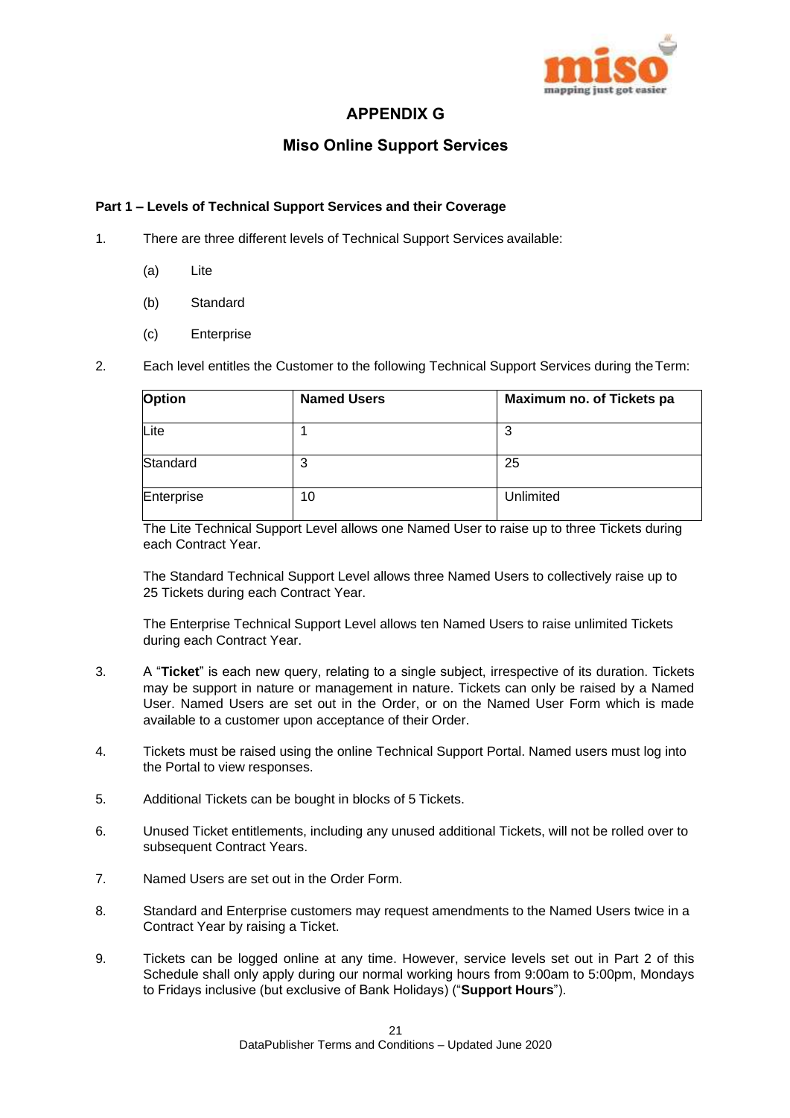

## **APPENDIX G**

## **Miso Online Support Services**

## **Part 1 – Levels of Technical Support Services and their Coverage**

- 1. There are three different levels of Technical Support Services available:
	- (a) Lite
	- (b) Standard
	- (c) Enterprise
- 2. Each level entitles the Customer to the following Technical Support Services during theTerm:

| Option     | <b>Named Users</b> | Maximum no. of Tickets pa |
|------------|--------------------|---------------------------|
| Lite       |                    | 3                         |
| Standard   | າ<br>J             | 25                        |
| Enterprise | 10                 | Unlimited                 |

The Lite Technical Support Level allows one Named User to raise up to three Tickets during each Contract Year.

The Standard Technical Support Level allows three Named Users to collectively raise up to 25 Tickets during each Contract Year.

The Enterprise Technical Support Level allows ten Named Users to raise unlimited Tickets during each Contract Year.

- 3. A "**Ticket**" is each new query, relating to a single subject, irrespective of its duration. Tickets may be support in nature or management in nature. Tickets can only be raised by a Named User. Named Users are set out in the Order, or on the Named User Form which is made available to a customer upon acceptance of their Order.
- 4. Tickets must be raised using the online Technical Support Portal. Named users must log into the Portal to view responses.
- 5. Additional Tickets can be bought in blocks of 5 Tickets.
- 6. Unused Ticket entitlements, including any unused additional Tickets, will not be rolled over to subsequent Contract Years.
- 7. Named Users are set out in the Order Form.
- 8. Standard and Enterprise customers may request amendments to the Named Users twice in a Contract Year by raising a Ticket.
- 9. Tickets can be logged online at any time. However, service levels set out in Part 2 of this Schedule shall only apply during our normal working hours from 9:00am to 5:00pm, Mondays to Fridays inclusive (but exclusive of Bank Holidays) ("**Support Hours**").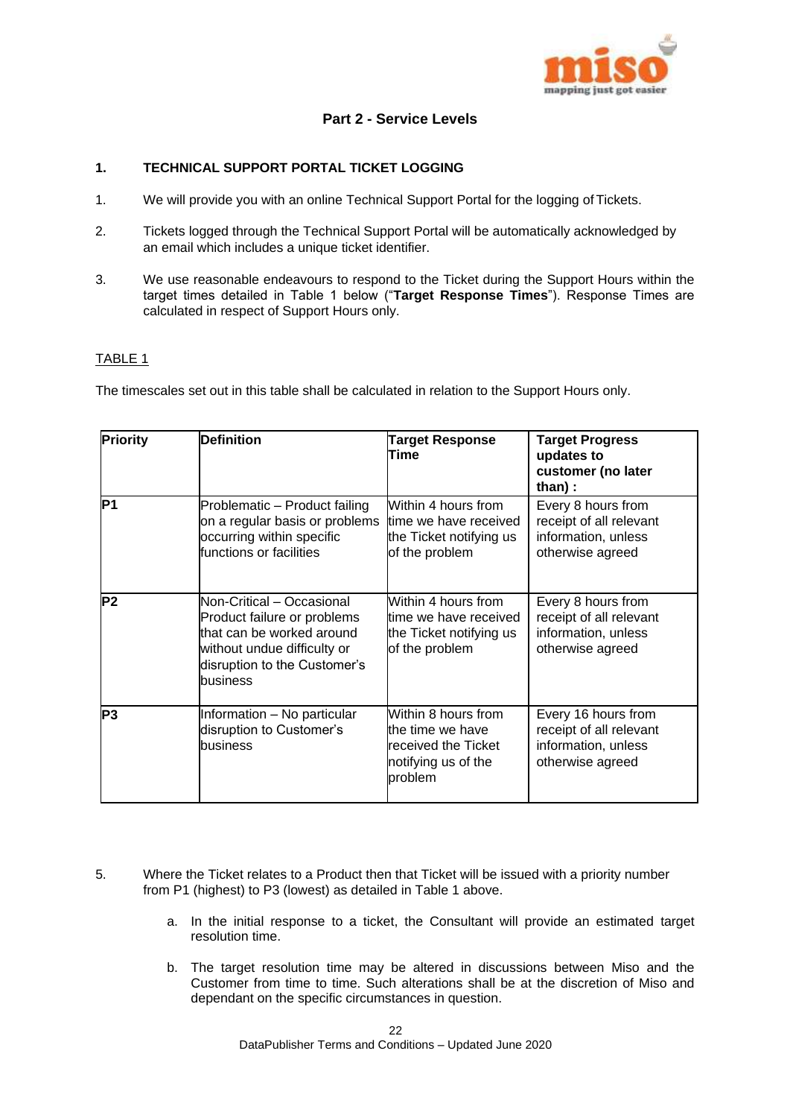

## **Part 2 - Service Levels**

## **1. TECHNICAL SUPPORT PORTAL TICKET LOGGING**

- 1. We will provide you with an online Technical Support Portal for the logging of Tickets.
- 2. Tickets logged through the Technical Support Portal will be automatically acknowledged by an email which includes a unique ticket identifier.
- 3. We use reasonable endeavours to respond to the Ticket during the Support Hours within the target times detailed in Table 1 below ("**Target Response Times**"). Response Times are calculated in respect of Support Hours only.

## TABLE 1

The timescales set out in this table shall be calculated in relation to the Support Hours only.

| <b>Priority</b> | <b>Definition</b>                                                                                                                                                | <b>Target Response</b><br>Time                                                                   | <b>Target Progress</b><br>updates to<br>customer (no later<br>than):                      |
|-----------------|------------------------------------------------------------------------------------------------------------------------------------------------------------------|--------------------------------------------------------------------------------------------------|-------------------------------------------------------------------------------------------|
| lP1             | Problematic - Product failing<br>on a regular basis or problems<br>occurring within specific<br>functions or facilities                                          | Within 4 hours from<br>time we have received<br>the Ticket notifying us<br>of the problem        | Every 8 hours from<br>receipt of all relevant<br>information, unless<br>otherwise agreed  |
| P2              | Non-Critical - Occasional<br>Product failure or problems<br>that can be worked around<br>without undue difficulty or<br>disruption to the Customer's<br>business | Within 4 hours from<br>time we have received<br>the Ticket notifying us<br>of the problem        | Every 8 hours from<br>receipt of all relevant<br>information, unless<br>otherwise agreed  |
| P3              | Information - No particular<br>disruption to Customer's<br>business                                                                                              | Within 8 hours from<br>the time we have<br>received the Ticket<br>notifying us of the<br>problem | Every 16 hours from<br>receipt of all relevant<br>information, unless<br>otherwise agreed |

- 5. Where the Ticket relates to a Product then that Ticket will be issued with a priority number from P1 (highest) to P3 (lowest) as detailed in Table 1 above.
	- a. In the initial response to a ticket, the Consultant will provide an estimated target resolution time.
	- b. The target resolution time may be altered in discussions between Miso and the Customer from time to time. Such alterations shall be at the discretion of Miso and dependant on the specific circumstances in question.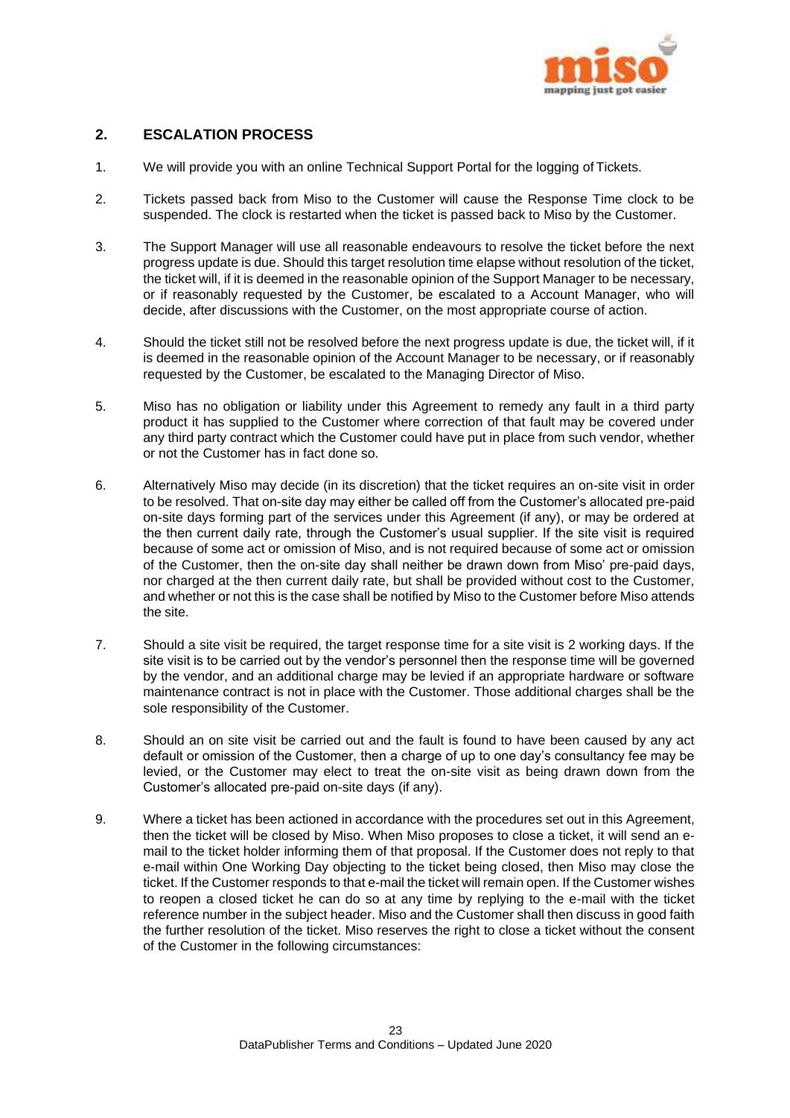

## **2. ESCALATION PROCESS**

- 1. We will provide you with an online Technical Support Portal for the logging of Tickets.
- 2. Tickets passed back from Miso to the Customer will cause the Response Time clock to be suspended. The clock is restarted when the ticket is passed back to Miso by the Customer.
- 3. The Support Manager will use all reasonable endeavours to resolve the ticket before the next progress update is due. Should this target resolution time elapse without resolution of the ticket, the ticket will, if it is deemed in the reasonable opinion of the Support Manager to be necessary, or if reasonably requested by the Customer, be escalated to a Account Manager, who will decide, after discussions with the Customer, on the most appropriate course of action.
- 4. Should the ticket still not be resolved before the next progress update is due, the ticket will, if it is deemed in the reasonable opinion of the Account Manager to be necessary, or if reasonably requested by the Customer, be escalated to the Managing Director of Miso.
- 5. Miso has no obligation or liability under this Agreement to remedy any fault in a third party product it has supplied to the Customer where correction of that fault may be covered under any third party contract which the Customer could have put in place from such vendor, whether or not the Customer has in fact done so.
- 6. Alternatively Miso may decide (in its discretion) that the ticket requires an on-site visit in order to be resolved. That on-site day may either be called off from the Customer's allocated pre-paid on-site days forming part of the services under this Agreement (if any), or may be ordered at the then current daily rate, through the Customer's usual supplier. If the site visit is required because of some act or omission of Miso, and is not required because of some act or omission of the Customer, then the on-site day shall neither be drawn down from Miso' pre-paid days, nor charged at the then current daily rate, but shall be provided without cost to the Customer, and whether or not this is the case shall be notified by Miso to the Customer before Miso attends the site.
- 7. Should a site visit be required, the target response time for a site visit is 2 working days. If the site visit is to be carried out by the vendor's personnel then the response time will be governed by the vendor, and an additional charge may be levied if an appropriate hardware or software maintenance contract is not in place with the Customer. Those additional charges shall be the sole responsibility of the Customer.
- 8. Should an on site visit be carried out and the fault is found to have been caused by any act default or omission of the Customer, then a charge of up to one day's consultancy fee may be levied, or the Customer may elect to treat the on-site visit as being drawn down from the Customer's allocated pre-paid on-site days (if any).
- 9. Where a ticket has been actioned in accordance with the procedures set out in this Agreement, then the ticket will be closed by Miso. When Miso proposes to close a ticket, it will send an email to the ticket holder informing them of that proposal. If the Customer does not reply to that e-mail within One Working Day objecting to the ticket being closed, then Miso may close the ticket. If the Customer responds to that e-mail the ticket will remain open. If the Customer wishes to reopen a closed ticket he can do so at any time by replying to the e-mail with the ticket reference number in the subject header. Miso and the Customer shall then discuss in good faith the further resolution of the ticket. Miso reserves the right to close a ticket without the consent of the Customer in the following circumstances: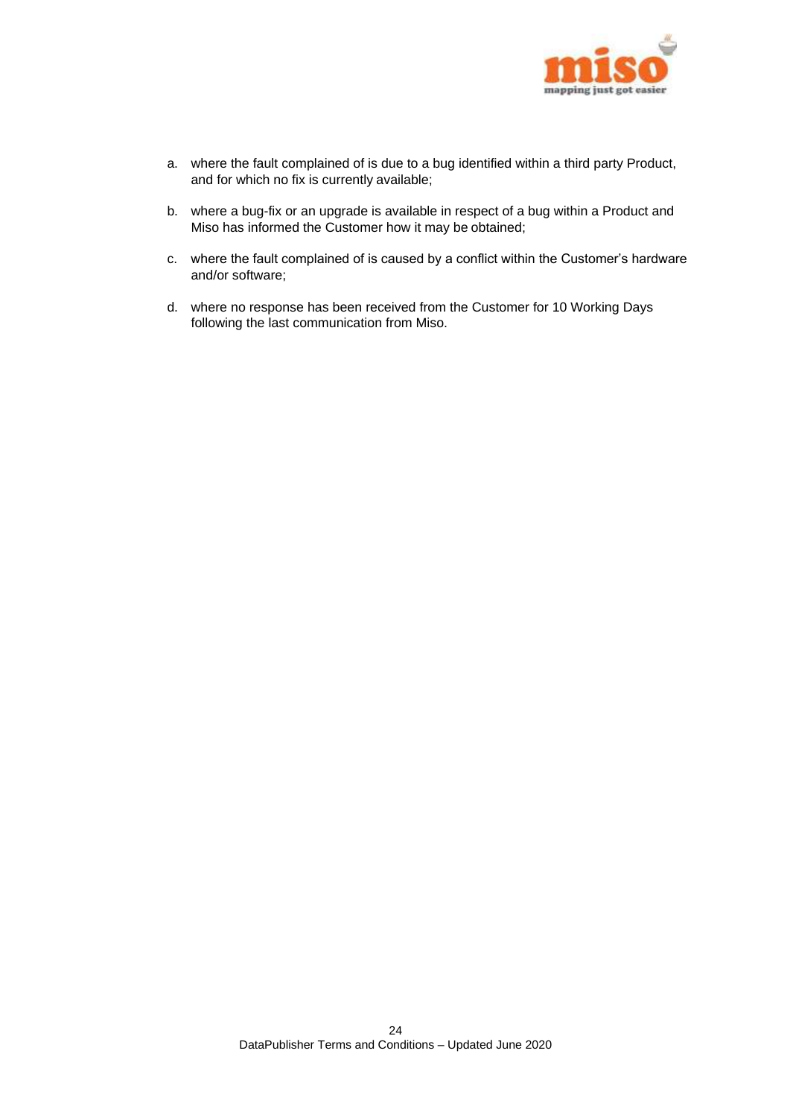

- a. where the fault complained of is due to a bug identified within a third party Product, and for which no fix is currently available;
- b. where a bug-fix or an upgrade is available in respect of a bug within a Product and Miso has informed the Customer how it may be obtained;
- c. where the fault complained of is caused by a conflict within the Customer's hardware and/or software;
- d. where no response has been received from the Customer for 10 Working Days following the last communication from Miso.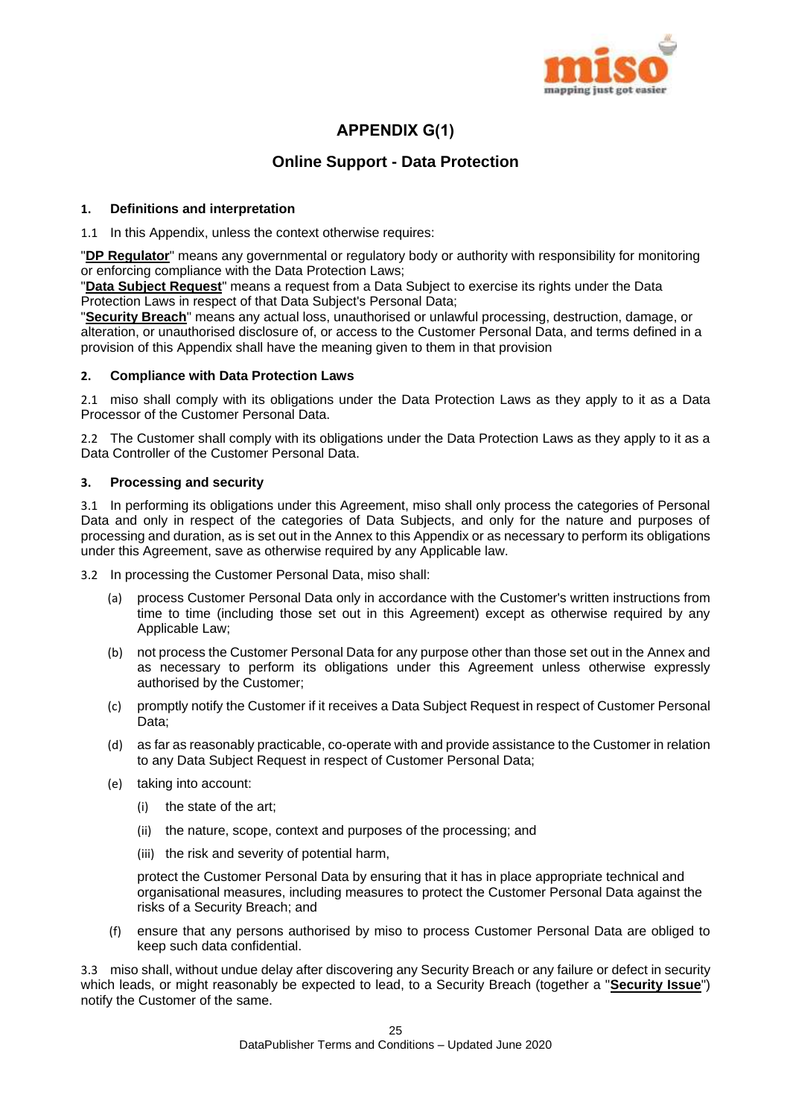

## **APPENDIX G(1)**

## **Online Support - Data Protection**

## **1. Definitions and interpretation**

1.1 In this Appendix, unless the context otherwise requires:

"**DP Regulator**" means any governmental or regulatory body or authority with responsibility for monitoring or enforcing compliance with the Data Protection Laws;

"**Data Subject Request**" means a request from a Data Subject to exercise its rights under the Data Protection Laws in respect of that Data Subject's Personal Data;

"**Security Breach**" means any actual loss, unauthorised or unlawful processing, destruction, damage, or alteration, or unauthorised disclosure of, or access to the Customer Personal Data, and terms defined in a provision of this Appendix shall have the meaning given to them in that provision

## **2. Compliance with Data Protection Laws**

2.1 miso shall comply with its obligations under the Data Protection Laws as they apply to it as a Data Processor of the Customer Personal Data.

2.2 The Customer shall comply with its obligations under the Data Protection Laws as they apply to it as a Data Controller of the Customer Personal Data.

## **3. Processing and security**

3.1 In performing its obligations under this Agreement, miso shall only process the categories of Personal Data and only in respect of the categories of Data Subjects, and only for the nature and purposes of processing and duration, as is set out in the Annex to this Appendix or as necessary to perform its obligations under this Agreement, save as otherwise required by any Applicable law.

3.2 In processing the Customer Personal Data, miso shall:

- (a) process Customer Personal Data only in accordance with the Customer's written instructions from time to time (including those set out in this Agreement) except as otherwise required by any Applicable Law;
- (b) not process the Customer Personal Data for any purpose other than those set out in the Annex and as necessary to perform its obligations under this Agreement unless otherwise expressly authorised by the Customer;
- (c) promptly notify the Customer if it receives a Data Subject Request in respect of Customer Personal Data;
- (d) as far as reasonably practicable, co-operate with and provide assistance to the Customer in relation to any Data Subject Request in respect of Customer Personal Data;
- (e) taking into account:
	- (i) the state of the art;
	- (ii) the nature, scope, context and purposes of the processing; and
	- (iii) the risk and severity of potential harm,

protect the Customer Personal Data by ensuring that it has in place appropriate technical and organisational measures, including measures to protect the Customer Personal Data against the risks of a Security Breach; and

(f) ensure that any persons authorised by miso to process Customer Personal Data are obliged to keep such data confidential.

3.3 miso shall, without undue delay after discovering any Security Breach or any failure or defect in security which leads, or might reasonably be expected to lead, to a Security Breach (together a "**Security Issue**") notify the Customer of the same.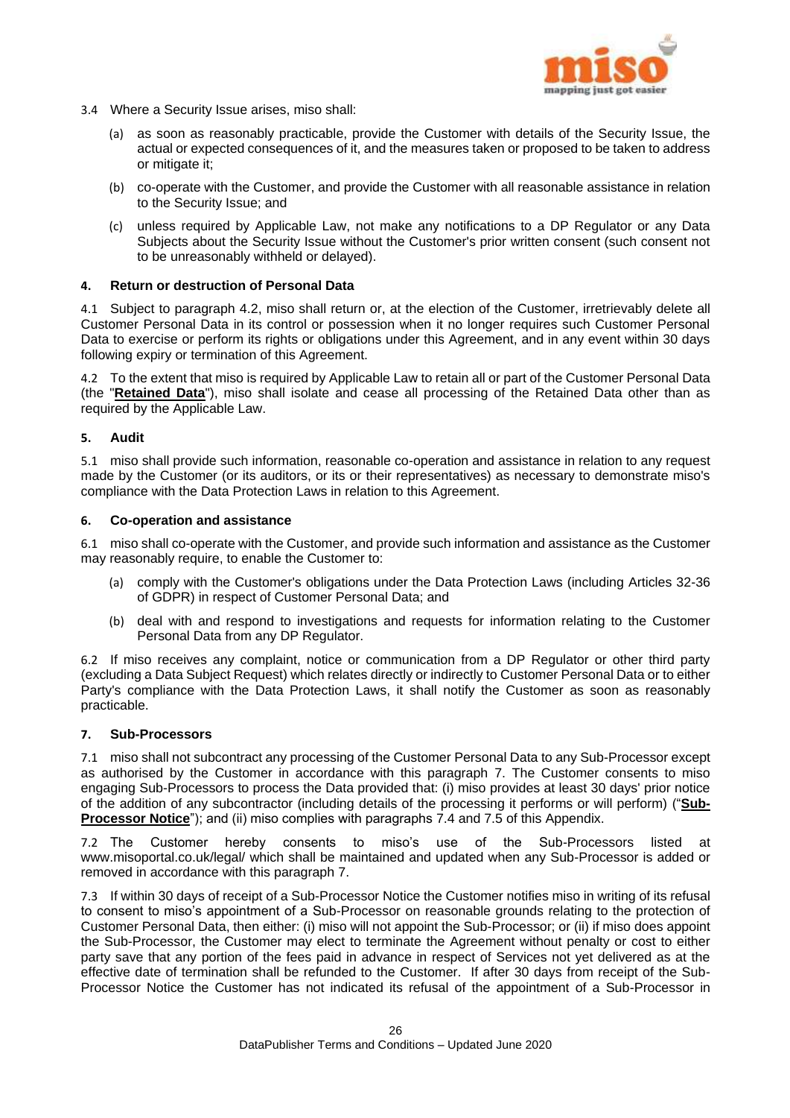

- 3.4 Where a Security Issue arises, miso shall:
	- (a) as soon as reasonably practicable, provide the Customer with details of the Security Issue, the actual or expected consequences of it, and the measures taken or proposed to be taken to address or mitigate it;
	- (b) co-operate with the Customer, and provide the Customer with all reasonable assistance in relation to the Security Issue; and
	- (c) unless required by Applicable Law, not make any notifications to a DP Regulator or any Data Subjects about the Security Issue without the Customer's prior written consent (such consent not to be unreasonably withheld or delayed).

## **4. Return or destruction of Personal Data**

4.1 Subject to paragraph [4.2,](#page-15-0) miso shall return or, at the election of the Customer, irretrievably delete all Customer Personal Data in its control or possession when it no longer requires such Customer Personal Data to exercise or perform its rights or obligations under this Agreement, and in any event within 30 days following expiry or termination of this Agreement.

4.2 To the extent that miso is required by Applicable Law to retain all or part of the Customer Personal Data (the "**Retained Data**"), miso shall isolate and cease all processing of the Retained Data other than as required by the Applicable Law.

## **5. Audit**

5.1 miso shall provide such information, reasonable co-operation and assistance in relation to any request made by the Customer (or its auditors, or its or their representatives) as necessary to demonstrate miso's compliance with the Data Protection Laws in relation to this Agreement.

#### **6. Co-operation and assistance**

6.1 miso shall co-operate with the Customer, and provide such information and assistance as the Customer may reasonably require, to enable the Customer to:

- (a) comply with the Customer's obligations under the Data Protection Laws (including Articles 32-36 of GDPR) in respect of Customer Personal Data; and
- (b) deal with and respond to investigations and requests for information relating to the Customer Personal Data from any DP Regulator.

6.2 If miso receives any complaint, notice or communication from a DP Regulator or other third party (excluding a Data Subject Request) which relates directly or indirectly to Customer Personal Data or to either Party's compliance with the Data Protection Laws, it shall notify the Customer as soon as reasonably practicable.

#### **7. Sub-Processors**

7.1 miso shall not subcontract any processing of the Customer Personal Data to any Sub-Processor except as authorised by the Customer in accordance with this paragraph [7.](#page-15-1) The Customer consents to miso engaging Sub-Processors to process the Data provided that: (i) miso provides at least 30 days' prior notice of the addition of any subcontractor (including details of the processing it performs or will perform) ("**Sub-Processor Notice**"); and (ii) miso complies with paragraphs [7.4](#page-16-0) and [7.5](#page-16-1) of this Appendix.

7.2 The Customer hereby consents to miso's use of the Sub-Processors listed at www.misoportal.co.uk/legal/ which shall be maintained and updated when any Sub-Processor is added or removed in accordance with this paragraph [7.](#page-15-1)

7.3 If within 30 days of receipt of a Sub-Processor Notice the Customer notifies miso in writing of its refusal to consent to miso's appointment of a Sub-Processor on reasonable grounds relating to the protection of Customer Personal Data, then either: (i) miso will not appoint the Sub-Processor; or (ii) if miso does appoint the Sub-Processor, the Customer may elect to terminate the Agreement without penalty or cost to either party save that any portion of the fees paid in advance in respect of Services not yet delivered as at the effective date of termination shall be refunded to the Customer. If after 30 days from receipt of the Sub-Processor Notice the Customer has not indicated its refusal of the appointment of a Sub-Processor in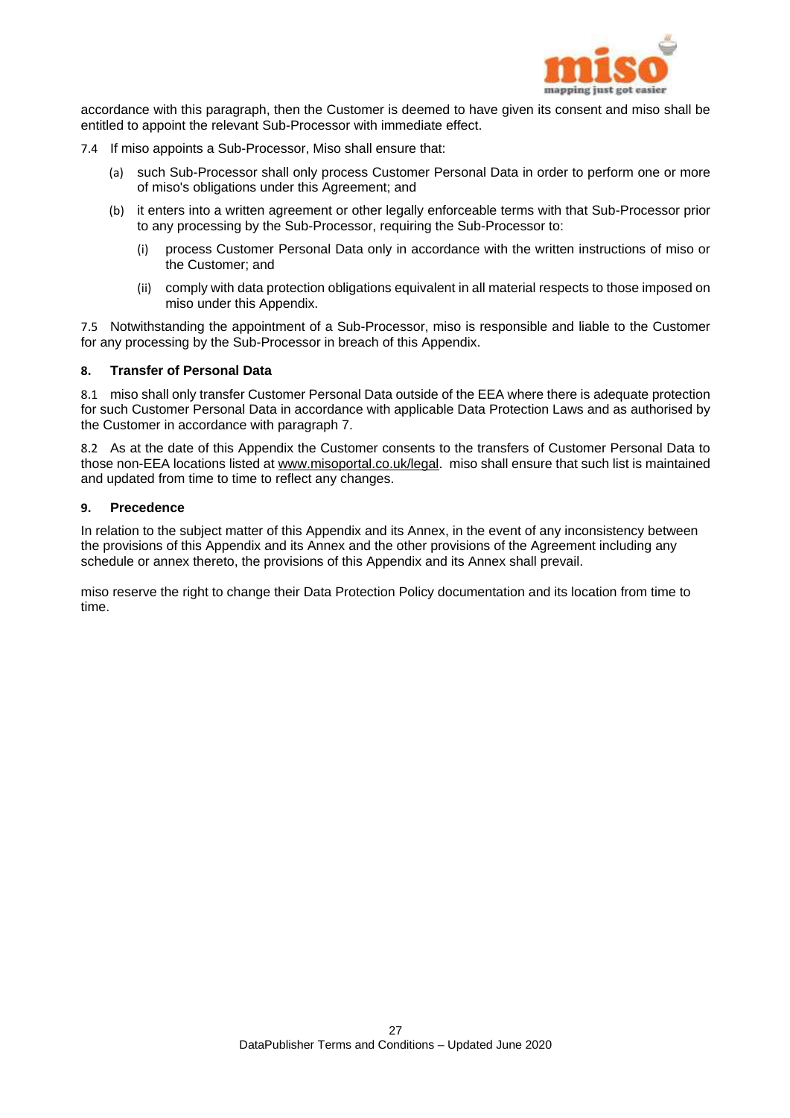

accordance with this paragraph, then the Customer is deemed to have given its consent and miso shall be entitled to appoint the relevant Sub-Processor with immediate effect.

- 7.4 If miso appoints a Sub-Processor, Miso shall ensure that:
	- (a) such Sub-Processor shall only process Customer Personal Data in order to perform one or more of miso's obligations under this Agreement; and
	- (b) it enters into a written agreement or other legally enforceable terms with that Sub-Processor prior to any processing by the Sub-Processor, requiring the Sub-Processor to:
		- (i) process Customer Personal Data only in accordance with the written instructions of miso or the Customer; and
		- (ii) comply with data protection obligations equivalent in all material respects to those imposed on miso under this Appendix.

7.5 Notwithstanding the appointment of a Sub-Processor, miso is responsible and liable to the Customer for any processing by the Sub-Processor in breach of this Appendix.

## **8. Transfer of Personal Data**

8.1 miso shall only transfer Customer Personal Data outside of the EEA where there is adequate protection for such Customer Personal Data in accordance with applicable Data Protection Laws and as authorised by the Customer in accordance with paragraph 7.

8.2 As at the date of this Appendix the Customer consents to the transfers of Customer Personal Data to those non-EEA locations listed a[t www.misoportal.co.uk/legal.](http://www.misoportal.co.uk/legal) miso shall ensure that such list is maintained and updated from time to time to reflect any changes.

#### **9. Precedence**

In relation to the subject matter of this Appendix and its Annex, in the event of any inconsistency between the provisions of this Appendix and its Annex and the other provisions of the Agreement including any schedule or annex thereto, the provisions of this Appendix and its Annex shall prevail.

miso reserve the right to change their Data Protection Policy documentation and its location from time to time.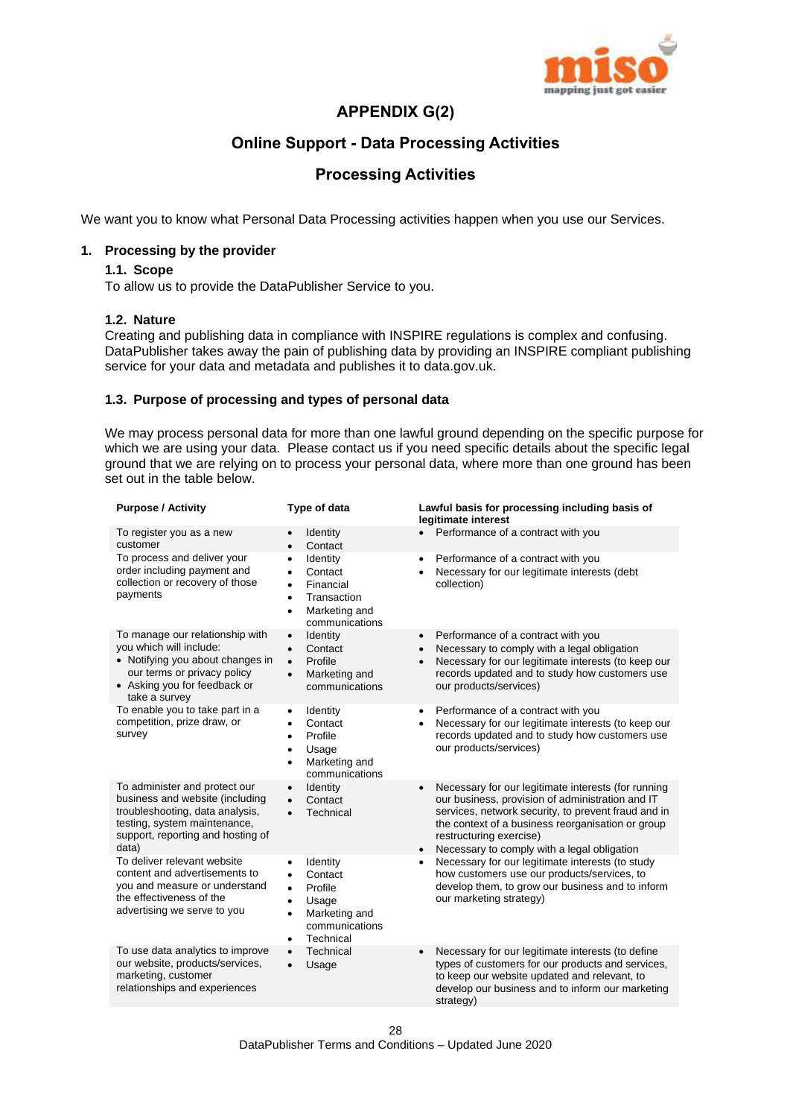

## **APPENDIX G(2)**

## **Online Support - Data Processing Activities**

## **Processing Activities**

We want you to know what Personal Data Processing activities happen when you use our Services.

## **1. Processing by the provider**

#### **1.1. Scope**

To allow us to provide the DataPublisher Service to you.

#### **1.2. Nature**

Creating and publishing data in compliance with INSPIRE regulations is complex and confusing. DataPublisher takes away the pain of publishing data by providing an INSPIRE compliant publishing service for your data and metadata and publishes it to data.gov.uk.

## **1.3. Purpose of processing and types of personal data**

We may process personal data for more than one lawful ground depending on the specific purpose for which we are using your data. Please contact us if you need specific details about the specific legal ground that we are relying on to process your personal data, where more than one ground has been set out in the table below.

| <b>Purpose / Activity</b>                                                                                                                                                         | Type of data                                                                                                                                                          | Lawful basis for processing including basis of<br>legitimate interest                                                                                                                                                                                                                                                   |
|-----------------------------------------------------------------------------------------------------------------------------------------------------------------------------------|-----------------------------------------------------------------------------------------------------------------------------------------------------------------------|-------------------------------------------------------------------------------------------------------------------------------------------------------------------------------------------------------------------------------------------------------------------------------------------------------------------------|
| To register you as a new<br>customer                                                                                                                                              | Identity<br>Contact<br>$\bullet$                                                                                                                                      | Performance of a contract with you<br>$\bullet$                                                                                                                                                                                                                                                                         |
| To process and deliver your<br>order including payment and<br>collection or recovery of those<br>payments                                                                         | Identity<br>$\bullet$<br>Contact<br>$\bullet$<br>Financial<br>$\bullet$<br>Transaction<br>$\bullet$<br>Marketing and<br>$\bullet$<br>communications                   | Performance of a contract with you<br>$\bullet$<br>Necessary for our legitimate interests (debt<br>collection)                                                                                                                                                                                                          |
| To manage our relationship with<br>you which will include:<br>• Notifying you about changes in<br>our terms or privacy policy<br>• Asking you for feedback or<br>take a survey    | Identity<br>$\bullet$<br>Contact<br>$\bullet$<br>Profile<br>$\bullet$<br>Marketing and<br>$\bullet$<br>communications                                                 | Performance of a contract with you<br>$\bullet$<br>Necessary to comply with a legal obligation<br>$\bullet$<br>Necessary for our legitimate interests (to keep our<br>$\bullet$<br>records updated and to study how customers use<br>our products/services)                                                             |
| To enable you to take part in a<br>competition, prize draw, or<br>survey                                                                                                          | Identity<br>$\bullet$<br>Contact<br>٠<br>Profile<br>$\bullet$<br>Usage<br>$\bullet$<br>Marketing and<br>$\bullet$<br>communications                                   | Performance of a contract with you<br>$\bullet$<br>Necessary for our legitimate interests (to keep our<br>٠<br>records updated and to study how customers use<br>our products/services)                                                                                                                                 |
| To administer and protect our<br>business and website (including<br>troubleshooting, data analysis,<br>testing, system maintenance,<br>support, reporting and hosting of<br>data) | Identity<br>$\bullet$<br>Contact<br>$\bullet$<br>Technical<br>$\bullet$                                                                                               | Necessary for our legitimate interests (for running<br>$\bullet$<br>our business, provision of administration and IT<br>services, network security, to prevent fraud and in<br>the context of a business reorganisation or group<br>restructuring exercise)<br>Necessary to comply with a legal obligation<br>$\bullet$ |
| To deliver relevant website<br>content and advertisements to<br>you and measure or understand<br>the effectiveness of the<br>advertising we serve to you                          | Identity<br>$\bullet$<br>Contact<br>$\bullet$<br>Profile<br>$\bullet$<br>Usage<br>$\bullet$<br>Marketing and<br>$\bullet$<br>communications<br>Technical<br>$\bullet$ | Necessary for our legitimate interests (to study<br>$\bullet$<br>how customers use our products/services, to<br>develop them, to grow our business and to inform<br>our marketing strategy)                                                                                                                             |
| To use data analytics to improve<br>our website, products/services,<br>marketing, customer<br>relationships and experiences                                                       | Technical<br>$\bullet$<br>Usage<br>$\bullet$                                                                                                                          | Necessary for our legitimate interests (to define<br>$\bullet$<br>types of customers for our products and services,<br>to keep our website updated and relevant, to<br>develop our business and to inform our marketing<br>strategy)                                                                                    |